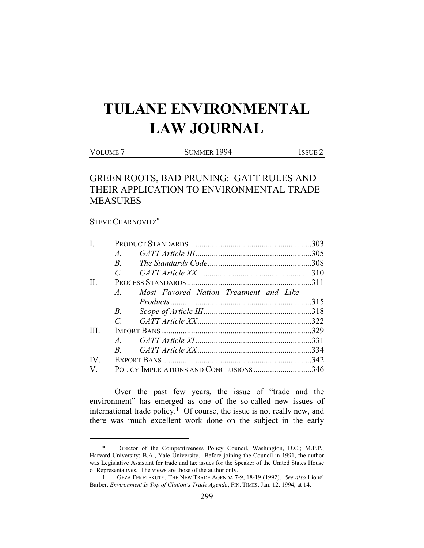# **TULANE ENVIRONMENTAL LAW JOURNAL**

VOLUME 7 SUMMER 1994 ISSUE 2

# GREEN ROOTS, BAD PRUNING: GATT RULES AND THEIR APPLICATION TO ENVIRONMENTAL TRADE MEASURES

# STEVE CHARNOVITZ\*

| $\mathbf{I}$ .        |                                                          |  |
|-----------------------|----------------------------------------------------------|--|
|                       | $A$ .                                                    |  |
|                       | $\mathbb{R}$                                             |  |
|                       | $\mathcal{C}$                                            |  |
| $\Pi$ .               |                                                          |  |
|                       | Most Favored Nation Treatment and Like<br>$\overline{A}$ |  |
|                       |                                                          |  |
|                       | $B$ .                                                    |  |
|                       | $\mathcal{C}_{\mathcal{C}}$                              |  |
| <b>III</b>            |                                                          |  |
|                       | $A$ .                                                    |  |
|                       | $R$ and $\sim$                                           |  |
| $\mathbf{IV}_{\cdot}$ |                                                          |  |
| $\mathbf{V}_{\cdot}$  | POLICY IMPLICATIONS AND CONCLUSIONS346                   |  |

 Over the past few years, the issue of "trade and the environment" has emerged as one of the so-called new issues of international trade policy.<sup>1</sup> Of course, the issue is not really new, and there was much excellent work done on the subject in the early

Director of the Competitiveness Policy Council, Washington, D.C.; M.P.P., Harvard University; B.A., Yale University. Before joining the Council in 1991, the author was Legislative Assistant for trade and tax issues for the Speaker of the United States House of Representatives. The views are those of the author only.

 <sup>1.</sup> GEZA FEKETEKUTY, THE NEW TRADE AGENDA 7-9, 18-19 (1992). *See also* Lionel Barber, *Environment Is Top of Clinton's Trade Agenda*, FIN. TIMES, Jan. 12, 1994, at 14.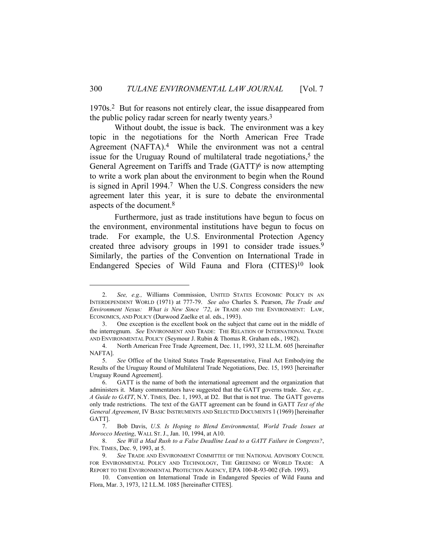1970s.2 But for reasons not entirely clear, the issue disappeared from the public policy radar screen for nearly twenty years.3

 Without doubt, the issue is back. The environment was a key topic in the negotiations for the North American Free Trade Agreement (NAFTA).<sup>4</sup> While the environment was not a central issue for the Uruguay Round of multilateral trade negotiations,<sup>5</sup> the General Agreement on Tariffs and Trade (GATT)<sup>6</sup> is now attempting to write a work plan about the environment to begin when the Round is signed in April 1994.7 When the U.S. Congress considers the new agreement later this year, it is sure to debate the environmental aspects of the document.8

 Furthermore, just as trade institutions have begun to focus on the environment, environmental institutions have begun to focus on trade. For example, the U.S. Environmental Protection Agency created three advisory groups in 1991 to consider trade issues.9 Similarly, the parties of the Convention on International Trade in Endangered Species of Wild Fauna and Flora (CITES)10 look

 <sup>2.</sup> *See, e.g.,* Williams Commission, UNITED STATES ECONOMIC POLICY IN AN INTERDEPENDENT WORLD (1971) at 777-79. *See also* Charles S. Pearson, *The Trade and Environment Nexus: What is New Since '72*, *in* TRADE AND THE ENVIRONMENT: LAW, ECONOMICS, AND POLICY (Durwood Zaelke et al. eds., 1993).

 <sup>3.</sup> One exception is the excellent book on the subject that came out in the middle of the interregnum. *See* ENVIRONMENT AND TRADE: THE RELATION OF INTERNATIONAL TRADE AND ENVIRONMENTAL POLICY (Seymour J. Rubin & Thomas R. Graham eds., 1982).

 <sup>4.</sup> North American Free Trade Agreement, Dec. 11, 1993, 32 I.L.M. 605 [hereinafter NAFTA].

 <sup>5.</sup> *See* Office of the United States Trade Representative, Final Act Embodying the Results of the Uruguay Round of Multilateral Trade Negotiations, Dec. 15, 1993 [hereinafter Uruguay Round Agreement].

 <sup>6.</sup> GATT is the name of both the international agreement and the organization that administers it. Many commentators have suggested that the GATT governs trade. *See, e.g., A Guide to GATT*, N.Y. TIMES*,* Dec. 1, 1993, at D2. But that is not true. The GATT governs only trade restrictions. The text of the GATT agreement can be found in GATT *Text of the General Agreement*, IV BASIC INSTRUMENTS AND SELECTED DOCUMENTS 1 (1969) [hereinafter GATT].

 <sup>7.</sup> Bob Davis, *U.S. Is Hoping to Blend Environmental, World Trade Issues at Morocco Meeting*, WALL ST. J., Jan. 10, 1994, at A10.

 <sup>8.</sup> *See Will a Mad Rush to a False Deadline Lead to a GATT Failure in Congress?*, FIN. TIMES, Dec. 9, 1993, at 5.

 <sup>9.</sup> *See* TRADE AND ENVIRONMENT COMMITTEE OF THE NATIONAL ADVISORY COUNCIL FOR ENVIRONMENTAL POLICY AND TECHNOLOGY, THE GREENING OF WORLD TRADE: A REPORT TO THE ENVIRONMENTAL PROTECTION AGENCY, EPA 100-R-93-002 (Feb. 1993).

 <sup>10.</sup> Convention on International Trade in Endangered Species of Wild Fauna and Flora, Mar. 3, 1973, 12 I.L.M. 1085 [hereinafter CITES].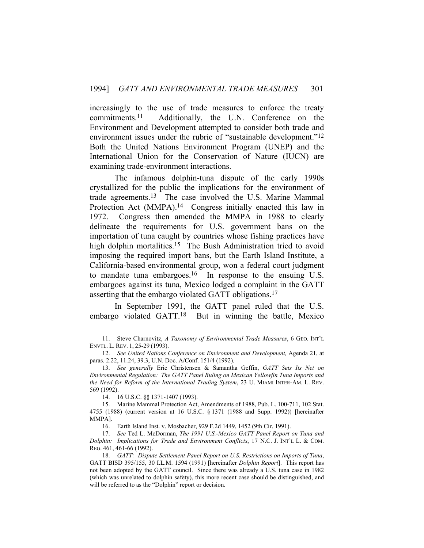increasingly to the use of trade measures to enforce the treaty commitments.11 Additionally, the U.N. Conference on the Environment and Development attempted to consider both trade and environment issues under the rubric of "sustainable development."<sup>12</sup> Both the United Nations Environment Program (UNEP) and the International Union for the Conservation of Nature (IUCN) are examining trade-environment interactions.

 The infamous dolphin-tuna dispute of the early 1990s crystallized for the public the implications for the environment of trade agreements.13 The case involved the U.S. Marine Mammal Protection Act (MMPA).<sup>14</sup> Congress initially enacted this law in 1972. Congress then amended the MMPA in 1988 to clearly delineate the requirements for U.S. government bans on the importation of tuna caught by countries whose fishing practices have high dolphin mortalities.<sup>15</sup> The Bush Administration tried to avoid imposing the required import bans, but the Earth Island Institute, a California-based environmental group, won a federal court judgment to mandate tuna embargoes.<sup>16</sup> In response to the ensuing U.S. embargoes against its tuna, Mexico lodged a complaint in the GATT asserting that the embargo violated GATT obligations.17

 In September 1991, the GATT panel ruled that the U.S. embargo violated GATT.18 But in winning the battle, Mexico

 <sup>11.</sup> Steve Charnovitz, *A Taxonomy of Environmental Trade Measures*, 6 GEO. INT'L ENVTL. L. REV. 1, 25-29 (1993).

 <sup>12.</sup> *See United Nations Conference on Environment and Development,* Agenda 21, at paras. 2.22, 11.24, 39.3, U.N. Doc. A/Conf. 151/4 (1992).

 <sup>13.</sup> *See generally* Eric Christensen & Samantha Geffin, *GATT Sets Its Net on Environmental Regulation: The GATT Panel Ruling on Mexican Yellowfin Tuna Imports and the Need for Reform of the International Trading System*, 23 U. MIAMI INTER-AM. L. REV. 569 (1992).

 <sup>14. 16</sup> U.S.C. §§ 1371-1407 (1993).

 <sup>15.</sup> Marine Mammal Protection Act, Amendments of 1988, Pub. L. 100-711, 102 Stat. 4755 (1988) (current version at 16 U.S.C. § 1371 (1988 and Supp. 1992)) [hereinafter MMPA].

 <sup>16.</sup> Earth Island Inst. v. Mosbacher, 929 F.2d 1449, 1452 (9th Cir. 1991).

 <sup>17.</sup> *See* Ted L. McDorman, *The 1991 U.S.-Mexico GATT Panel Report on Tuna and Dolphin: Implications for Trade and Environment Conflicts*, 17 N.C. J. INT'L L. & COM. REG. 461, 461-66 (1992).

 <sup>18.</sup> *GATT: Dispute Settlement Panel Report on U.S. Restrictions on Imports of Tuna*, GATT BISD 395/155, 30 I.L.M. 1594 (1991) [hereinafter *Dolphin Report*]. This report has not been adopted by the GATT council. Since there was already a U.S. tuna case in 1982 (which was unrelated to dolphin safety), this more recent case should be distinguished, and will be referred to as the "Dolphin" report or decision.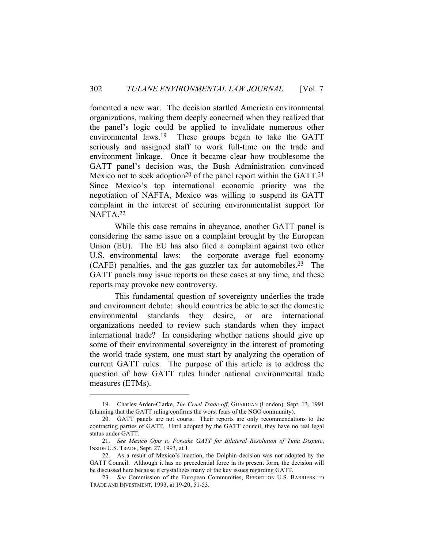fomented a new war. The decision startled American environmental organizations, making them deeply concerned when they realized that the panel's logic could be applied to invalidate numerous other environmental laws.19 These groups began to take the GATT seriously and assigned staff to work full-time on the trade and environment linkage. Once it became clear how troublesome the GATT panel's decision was, the Bush Administration convinced Mexico not to seek adoption<sup>20</sup> of the panel report within the GATT.<sup>21</sup> Since Mexico's top international economic priority was the negotiation of NAFTA, Mexico was willing to suspend its GATT complaint in the interest of securing environmentalist support for NAFTA.22

 While this case remains in abeyance, another GATT panel is considering the same issue on a complaint brought by the European Union (EU). The EU has also filed a complaint against two other U.S. environmental laws: the corporate average fuel economy (CAFE) penalties, and the gas guzzler tax for automobiles.23 The GATT panels may issue reports on these cases at any time, and these reports may provoke new controversy.

 This fundamental question of sovereignty underlies the trade and environment debate: should countries be able to set the domestic environmental standards they desire, or are international organizations needed to review such standards when they impact international trade? In considering whether nations should give up some of their environmental sovereignty in the interest of promoting the world trade system, one must start by analyzing the operation of current GATT rules. The purpose of this article is to address the question of how GATT rules hinder national environmental trade measures (ETMs).

 <sup>19.</sup> Charles Arden-Clarke, *The Cruel Trade-off*, GUARDIAN (London), Sept. 13, 1991 (claiming that the GATT ruling confirms the worst fears of the NGO community).

 <sup>20.</sup> GATT panels are not courts. Their reports are only recommendations to the contracting parties of GATT. Until adopted by the GATT council, they have no real legal status under GATT.

 <sup>21.</sup> *See Mexico Opts to Forsake GATT for Bilateral Resolution of Tuna Dispute*, INSIDE U.S. TRADE, Sept. 27, 1993, at 1.

 <sup>22.</sup> As a result of Mexico's inaction, the Dolphin decision was not adopted by the GATT Council. Although it has no precedential force in its present form, the decision will be discussed here because it crystallizes many of the key issues regarding GATT.

 <sup>23.</sup> *See* Commission of the European Communities, REPORT ON U.S. BARRIERS TO TRADE AND INVESTMENT, 1993, at 19-20, 51-53.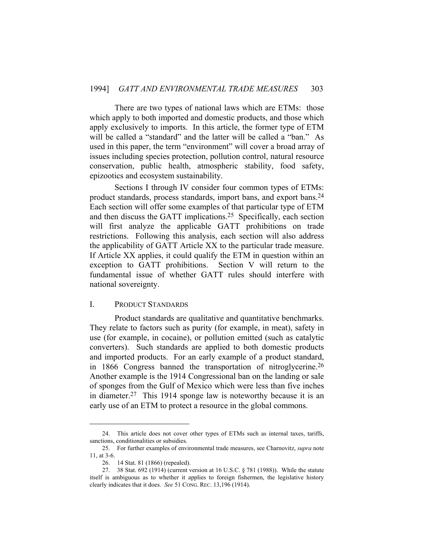There are two types of national laws which are ETMs: those which apply to both imported and domestic products, and those which apply exclusively to imports. In this article, the former type of ETM will be called a "standard" and the latter will be called a "ban." As used in this paper, the term "environment" will cover a broad array of issues including species protection, pollution control, natural resource conservation, public health, atmospheric stability, food safety, epizootics and ecosystem sustainability.

 Sections I through IV consider four common types of ETMs: product standards, process standards, import bans, and export bans.24 Each section will offer some examples of that particular type of ETM and then discuss the GATT implications.25 Specifically, each section will first analyze the applicable GATT prohibitions on trade restrictions. Following this analysis, each section will also address the applicability of GATT Article XX to the particular trade measure. If Article XX applies, it could qualify the ETM in question within an exception to GATT prohibitions. Section V will return to the fundamental issue of whether GATT rules should interfere with national sovereignty.

# I. PRODUCT STANDARDS

 Product standards are qualitative and quantitative benchmarks. They relate to factors such as purity (for example, in meat), safety in use (for example, in cocaine), or pollution emitted (such as catalytic converters). Such standards are applied to both domestic products and imported products. For an early example of a product standard, in 1866 Congress banned the transportation of nitroglycerine.26 Another example is the 1914 Congressional ban on the landing or sale of sponges from the Gulf of Mexico which were less than five inches in diameter.27 This 1914 sponge law is noteworthy because it is an early use of an ETM to protect a resource in the global commons.

 <sup>24.</sup> This article does not cover other types of ETMs such as internal taxes, tariffs, sanctions, conditionalities or subsidies.

 <sup>25.</sup> For further examples of environmental trade measures, see Charnovitz, *supra* note 11, at 3-6.

 <sup>26. 14</sup> Stat. 81 (1866) (repealed).

 <sup>27. 38</sup> Stat. 692 (1914) (current version at 16 U.S.C. § 781 (1988)). While the statute itself is ambiguous as to whether it applies to foreign fishermen, the legislative history clearly indicates that it does. *See* 51 CONG. REC. 13,196 (1914).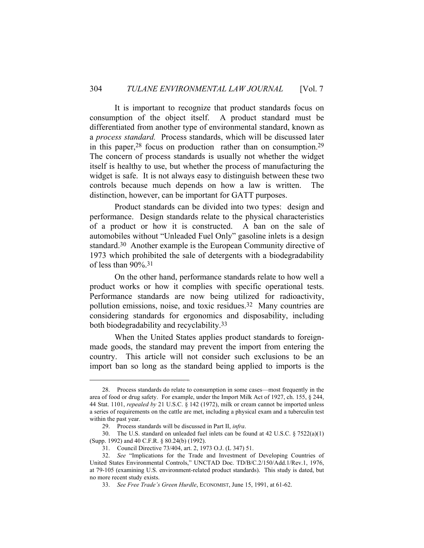It is important to recognize that product standards focus on consumption of the object itself. A product standard must be differentiated from another type of environmental standard, known as a *process standard.* Process standards, which will be discussed later in this paper,  $28$  focus on production rather than on consumption.  $29$ The concern of process standards is usually not whether the widget itself is healthy to use, but whether the process of manufacturing the widget is safe. It is not always easy to distinguish between these two controls because much depends on how a law is written. The distinction, however, can be important for GATT purposes.

 Product standards can be divided into two types: design and performance. Design standards relate to the physical characteristics of a product or how it is constructed. A ban on the sale of automobiles without "Unleaded Fuel Only" gasoline inlets is a design standard.30 Another example is the European Community directive of 1973 which prohibited the sale of detergents with a biodegradability of less than 90%.31

 On the other hand, performance standards relate to how well a product works or how it complies with specific operational tests. Performance standards are now being utilized for radioactivity, pollution emissions, noise, and toxic residues.32 Many countries are considering standards for ergonomics and disposability, including both biodegradability and recyclability.33

 When the United States applies product standards to foreignmade goods, the standard may prevent the import from entering the country. This article will not consider such exclusions to be an import ban so long as the standard being applied to imports is the

 <sup>28.</sup> Process standards do relate to consumption in some cases—most frequently in the area of food or drug safety. For example, under the Import Milk Act of 1927, ch. 155, § 244, 44 Stat. 1101, *repealed by* 21 U.S.C. § 142 (1972), milk or cream cannot be imported unless a series of requirements on the cattle are met, including a physical exam and a tuberculin test within the past year.

 <sup>29.</sup> Process standards will be discussed in Part II, *infra*.

 <sup>30.</sup> The U.S. standard on unleaded fuel inlets can be found at 42 U.S.C. § 7522(a)(1) (Supp. 1992) and 40 C.F.R. § 80.24(b) (1992).

 <sup>31.</sup> Council Directive 73/404, art. 2, 1973 O.J. (L 347) 51.

 <sup>32.</sup> *See* "Implications for the Trade and Investment of Developing Countries of United States Environmental Controls," UNCTAD Doc. TD/B/C.2/150/Add.1/Rev.1, 1976, at 79-105 (examining U.S. environment-related product standards). This study is dated, but no more recent study exists.

 <sup>33.</sup> *See Free Trade's Green Hurdle*, ECONOMIST, June 15, 1991, at 61-62.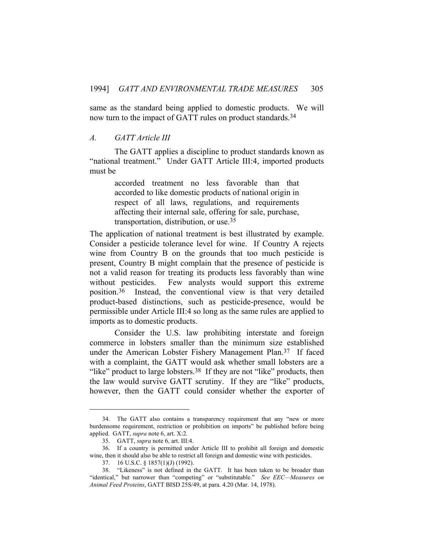same as the standard being applied to domestic products. We will now turn to the impact of GATT rules on product standards.<sup>34</sup>

#### *A. GATT Article III*

 The GATT applies a discipline to product standards known as "national treatment." Under GATT Article III:4, imported products must be

> accorded treatment no less favorable than that accorded to like domestic products of national origin in respect of all laws, regulations, and requirements affecting their internal sale, offering for sale, purchase, transportation, distribution, or use.35

The application of national treatment is best illustrated by example. Consider a pesticide tolerance level for wine. If Country A rejects wine from Country B on the grounds that too much pesticide is present, Country B might complain that the presence of pesticide is not a valid reason for treating its products less favorably than wine without pesticides. Few analysts would support this extreme position.36 Instead, the conventional view is that very detailed product-based distinctions, such as pesticide-presence, would be permissible under Article III:4 so long as the same rules are applied to imports as to domestic products.

 Consider the U.S. law prohibiting interstate and foreign commerce in lobsters smaller than the minimum size established under the American Lobster Fishery Management Plan.37 If faced with a complaint, the GATT would ask whether small lobsters are a "like" product to large lobsters. $38$  If they are not "like" products, then the law would survive GATT scrutiny. If they are "like" products, however, then the GATT could consider whether the exporter of

 <sup>34.</sup> The GATT also contains a transparency requirement that any "new or more burdensome requirement, restriction or prohibition on imports" be published before being applied. GATT, *supra* note 6, art. X:2.

 <sup>35.</sup> GATT, *supra* note 6, art. III:4.

 <sup>36.</sup> If a country is permitted under Article III to prohibit all foreign and domestic wine, then it should also be able to restrict all foreign and domestic wine with pesticides.

 <sup>37. 16</sup> U.S.C. § 1857(1)(J) (1992).

 <sup>38. &</sup>quot;Likeness" is not defined in the GATT. It has been taken to be broader than "identical," but narrower than "competing" or "substitutable." *See EEC—Measures on Animal Feed Proteins*, GATT BISD 25S/49, at para. 4.20 (Mar. 14, 1978).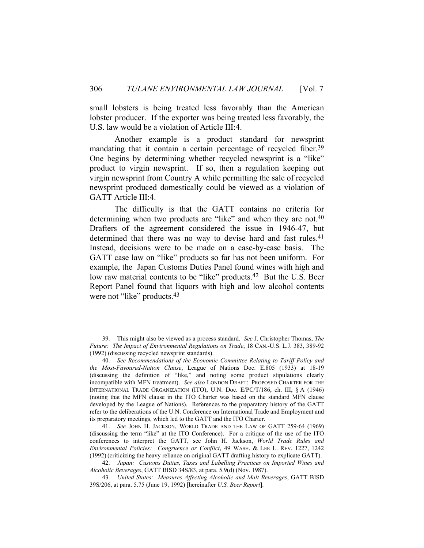small lobsters is being treated less favorably than the American lobster producer. If the exporter was being treated less favorably, the U.S. law would be a violation of Article III:4.

 Another example is a product standard for newsprint mandating that it contain a certain percentage of recycled fiber.<sup>39</sup> One begins by determining whether recycled newsprint is a "like" product to virgin newsprint. If so, then a regulation keeping out virgin newsprint from Country A while permitting the sale of recycled newsprint produced domestically could be viewed as a violation of GATT Article III:4.

 The difficulty is that the GATT contains no criteria for determining when two products are "like" and when they are not.<sup>40</sup> Drafters of the agreement considered the issue in 1946-47, but determined that there was no way to devise hard and fast rules.<sup>41</sup> Instead, decisions were to be made on a case-by-case basis. The GATT case law on "like" products so far has not been uniform. For example, the Japan Customs Duties Panel found wines with high and low raw material contents to be "like" products.<sup>42</sup> But the U.S. Beer Report Panel found that liquors with high and low alcohol contents were not "like" products.<sup>43</sup>

 <sup>39.</sup> This might also be viewed as a process standard. *See* J. Christopher Thomas, *The Future: The Impact of Environmental Regulations on Trade*, 18 CAN.-U.S. L.J. 383, 389-92 (1992) (discussing recycled newsprint standards).

 <sup>40.</sup> *See Recommendations of the Economic Committee Relating to Tariff Policy and the Most-Favoured-Nation Clause*, League of Nations Doc. E.805 (1933) at 18-19 (discussing the definition of "like," and noting some product stipulations clearly incompatible with MFN treatment). *See also* LONDON DRAFT: PROPOSED CHARTER FOR THE INTERNATIONAL TRADE ORGANIZATION (ITO), U.N. Doc. E/PC/T/186, ch. III, § A (1946) (noting that the MFN clause in the ITO Charter was based on the standard MFN clause developed by the League of Nations). References to the preparatory history of the GATT refer to the deliberations of the U.N. Conference on International Trade and Employment and its preparatory meetings, which led to the GATT and the ITO Charter.

 <sup>41.</sup> *See* JOHN H. JACKSON, WORLD TRADE AND THE LAW OF GATT 259-64 (1969) (discussing the term "like" at the ITO Conference). For a critique of the use of the ITO conferences to interpret the GATT, see John H. Jackson, *World Trade Rules and Environmental Policies: Congruence or Conflict*, 49 WASH. & LEE L. REV. 1227, 1242 (1992) (criticizing the heavy reliance on original GATT drafting history to explicate GATT).

 <sup>42.</sup> *Japan: Customs Duties, Taxes and Labelling Practices on Imported Wines and Alcoholic Beverages*, GATT BISD 34S/83, at para. 5.9(d) (Nov. 1987).

 <sup>43.</sup> *United States: Measures Affecting Alcoholic and Malt Beverages*, GATT BISD 39S/206, at para. 5.75 (June 19, 1992) [hereinafter *U.S. Beer Report*].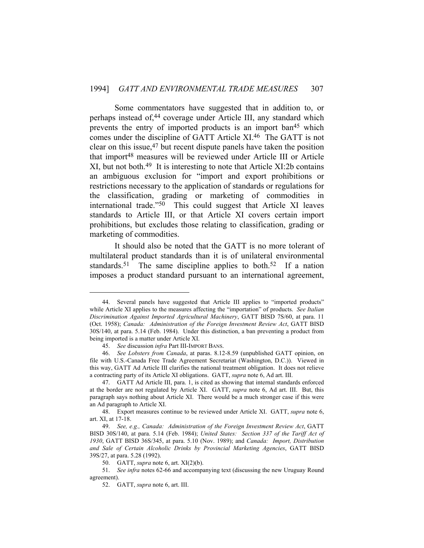Some commentators have suggested that in addition to, or perhaps instead of,<sup>44</sup> coverage under Article III, any standard which prevents the entry of imported products is an import ban45 which comes under the discipline of GATT Article XI.46 The GATT is not clear on this issue, $47$  but recent dispute panels have taken the position that import48 measures will be reviewed under Article III or Article XI, but not both.49 It is interesting to note that Article XI:2b contains an ambiguous exclusion for "import and export prohibitions or restrictions necessary to the application of standards or regulations for the classification, grading or marketing of commodities in international trade."50 This could suggest that Article XI leaves standards to Article III, or that Article XI covers certain import prohibitions, but excludes those relating to classification, grading or marketing of commodities.

 It should also be noted that the GATT is no more tolerant of multilateral product standards than it is of unilateral environmental standards.<sup>51</sup> The same discipline applies to both.<sup>52</sup> If a nation imposes a product standard pursuant to an international agreement,

 <sup>44.</sup> Several panels have suggested that Article III applies to "imported products" while Article XI applies to the measures affecting the "importation" of products. *See Italian Discrimination Against Imported Agricultural Machinery*, GATT BISD 7S/60, at para. 11 (Oct. 1958); *Canada: Administration of the Foreign Investment Review Act*, GATT BISD 30S/140, at para. 5.14 (Feb. 1984). Under this distinction, a ban preventing a product from being imported is a matter under Article XI.

 <sup>45.</sup> *See* discussion *infra* Part III-IMPORT BANS.

 <sup>46.</sup> *See Lobsters from Canada*, at paras. 8.12-8.59 (unpublished GATT opinion, on file with U.S.-Canada Free Trade Agreement Secretariat (Washington, D.C.)). Viewed in this way, GATT Ad Article III clarifies the national treatment obligation. It does not relieve a contracting party of its Article XI obligations. GATT, *supra* note 6, Ad art. III.

 <sup>47.</sup> GATT Ad Article III, para. 1, is cited as showing that internal standards enforced at the border are not regulated by Article XI. GATT, *supra* note 6, Ad art. III. But, this paragraph says nothing about Article XI. There would be a much stronger case if this were an Ad paragraph to Article XI.

 <sup>48.</sup> Export measures continue to be reviewed under Article XI. GATT, *supra* note 6, art. XI, at 17-18.

 <sup>49.</sup> *See, e.g., Canada: Administration of the Foreign Investment Review Act*, GATT BISD 30S/140, at para. 5.14 (Feb. 1984); *United States: Section 337 of the Tariff Act of 1930*, GATT BISD 36S/345, at para. 5.10 (Nov. 1989); and *Canada: Import, Distribution and Sale of Certain Alcoholic Drinks by Provincial Marketing Agencies*, GATT BISD 39S/27, at para. 5.28 (1992).

 <sup>50.</sup> GATT, *supra* note 6, art. XI(2)(b).

 <sup>51.</sup> *See infra* notes 62-66 and accompanying text (discussing the new Uruguay Round agreement).

 <sup>52.</sup> GATT, *supra* note 6, art. III.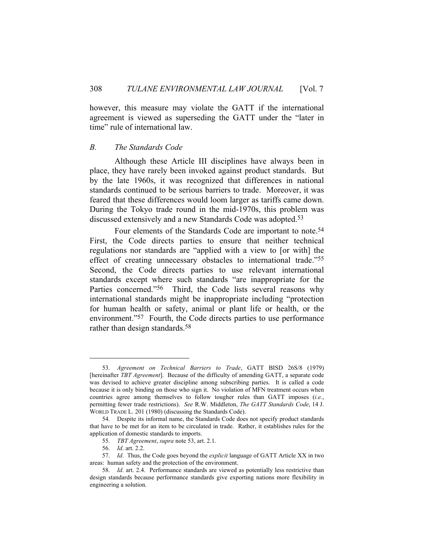however, this measure may violate the GATT if the international agreement is viewed as superseding the GATT under the "later in time" rule of international law.

#### *B. The Standards Code*

 Although these Article III disciplines have always been in place, they have rarely been invoked against product standards. But by the late 1960s, it was recognized that differences in national standards continued to be serious barriers to trade. Moreover, it was feared that these differences would loom larger as tariffs came down. During the Tokyo trade round in the mid-1970s, this problem was discussed extensively and a new Standards Code was adopted.53

 Four elements of the Standards Code are important to note.54 First, the Code directs parties to ensure that neither technical regulations nor standards are "applied with a view to [or with] the effect of creating unnecessary obstacles to international trade."55 Second, the Code directs parties to use relevant international standards except where such standards "are inappropriate for the Parties concerned."<sup>56</sup> Third, the Code lists several reasons why international standards might be inappropriate including "protection for human health or safety, animal or plant life or health, or the environment."57 Fourth, the Code directs parties to use performance rather than design standards.<sup>58</sup>

 <sup>53.</sup> *Agreement on Technical Barriers to Trade*, GATT BISD 26S/8 (1979) [hereinafter *TBT Agreement*]. Because of the difficulty of amending GATT, a separate code was devised to achieve greater discipline among subscribing parties. It is called a code because it is only binding on those who sign it. No violation of MFN treatment occurs when countries agree among themselves to follow tougher rules than GATT imposes (*i.e.*, permitting fewer trade restrictions). *See* R.W. Middleton, *The GATT Standards Code*, 14 J. WORLD TRADE L. 201 (1980) (discussing the Standards Code).

 <sup>54.</sup> Despite its informal name, the Standards Code does not specify product standards that have to be met for an item to be circulated in trade. Rather, it establishes rules for the application of domestic standards to imports.

 <sup>55.</sup> *TBT Agreement*, *supra* note 53, art. 2.1.

 <sup>56.</sup> *Id*. art. 2.2.

 <sup>57.</sup> *Id*. Thus, the Code goes beyond the *explicit* language of GATT Article XX in two areas: human safety and the protection of the environment.

 <sup>58.</sup> *Id*. art. 2.4. Performance standards are viewed as potentially less restrictive than design standards because performance standards give exporting nations more flexibility in engineering a solution.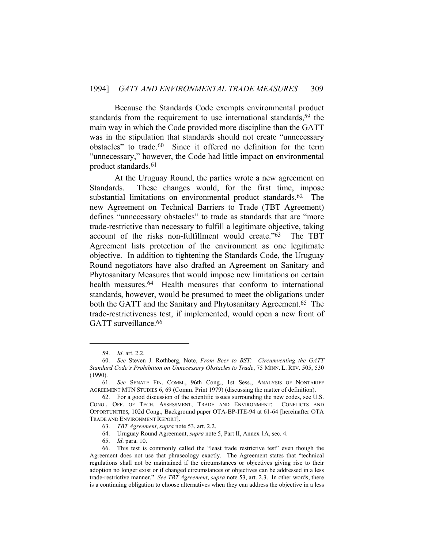Because the Standards Code exempts environmental product standards from the requirement to use international standards,<sup>59</sup> the main way in which the Code provided more discipline than the GATT was in the stipulation that standards should not create "unnecessary obstacles" to trade.60 Since it offered no definition for the term "unnecessary," however, the Code had little impact on environmental product standards.61

 At the Uruguay Round, the parties wrote a new agreement on Standards. These changes would, for the first time, impose substantial limitations on environmental product standards.62 The new Agreement on Technical Barriers to Trade (TBT Agreement) defines "unnecessary obstacles" to trade as standards that are "more trade-restrictive than necessary to fulfill a legitimate objective, taking account of the risks non-fulfillment would create."63 The TBT Agreement lists protection of the environment as one legitimate objective. In addition to tightening the Standards Code, the Uruguay Round negotiators have also drafted an Agreement on Sanitary and Phytosanitary Measures that would impose new limitations on certain health measures.<sup>64</sup> Health measures that conform to international standards, however, would be presumed to meet the obligations under both the GATT and the Sanitary and Phytosanitary Agreement.65 The trade-restrictiveness test, if implemented, would open a new front of GATT surveillance.<sup>66</sup>

 <sup>59.</sup> *Id*. art. 2.2.

 <sup>60.</sup> *See* Steven J. Rothberg, Note, *From Beer to BST: Circumventing the GATT Standard Code's Prohibition on Unnecessary Obstacles to Trade*, 75 MINN. L. REV. 505, 530 (1990).

 <sup>61.</sup> *See* SENATE FIN. COMM., 96th Cong., 1st Sess., ANALYSIS OF NONTARIFF AGREEMENT MTN STUDIES 6, 69 (Comm. Print 1979) (discussing the matter of definition).

 <sup>62.</sup> For a good discussion of the scientific issues surrounding the new codes, see U.S. CONG., OFF. OF TECH. ASSESSMENT, TRADE AND ENVIRONMENT: CONFLICTS AND OPPORTUNITIES, 102d Cong., Background paper OTA-BP-ITE-94 at 61-64 [hereinafter OTA TRADE AND ENVIRONMENT REPORT].

 <sup>63.</sup> *TBT Agreement*, *supra* note 53, art. 2.2.

 <sup>64.</sup> Uruguay Round Agreement, *supra* note 5, Part II, Annex 1A, sec. 4.

 <sup>65.</sup> *Id*. para. 10.

 <sup>66.</sup> This test is commonly called the "least trade restrictive test" even though the Agreement does not use that phraseology exactly. The Agreement states that "technical regulations shall not be maintained if the circumstances or objectives giving rise to their adoption no longer exist or if changed circumstances or objectives can be addressed in a less trade-restrictive manner." *See TBT Agreement*, *supra* note 53, art. 2.3. In other words, there is a continuing obligation to choose alternatives when they can address the objective in a less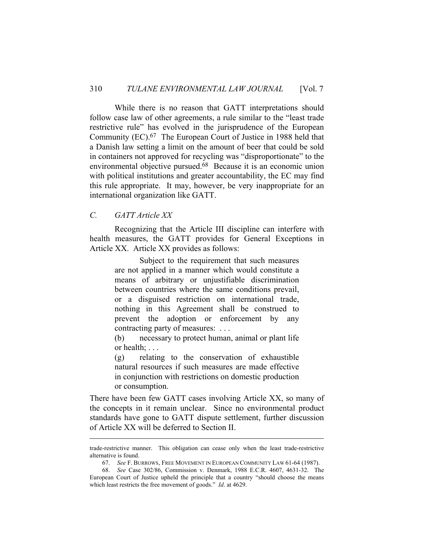While there is no reason that GATT interpretations should follow case law of other agreements, a rule similar to the "least trade restrictive rule" has evolved in the jurisprudence of the European Community (EC).67 The European Court of Justice in 1988 held that a Danish law setting a limit on the amount of beer that could be sold in containers not approved for recycling was "disproportionate" to the environmental objective pursued.68 Because it is an economic union with political institutions and greater accountability, the EC may find this rule appropriate. It may, however, be very inappropriate for an international organization like GATT.

# *C. GATT Article XX*

 Recognizing that the Article III discipline can interfere with health measures, the GATT provides for General Exceptions in Article XX. Article XX provides as follows:

> Subject to the requirement that such measures are not applied in a manner which would constitute a means of arbitrary or unjustifiable discrimination between countries where the same conditions prevail, or a disguised restriction on international trade, nothing in this Agreement shall be construed to prevent the adoption or enforcement by any contracting party of measures: . . .

> (b) necessary to protect human, animal or plant life or health; . . .

> (g) relating to the conservation of exhaustible natural resources if such measures are made effective in conjunction with restrictions on domestic production or consumption.

There have been few GATT cases involving Article XX, so many of the concepts in it remain unclear. Since no environmental product standards have gone to GATT dispute settlement, further discussion of Article XX will be deferred to Section II.

trade-restrictive manner. This obligation can cease only when the least trade-restrictive alternative is found.

 <sup>67.</sup> *See* F. BURROWS, FREE MOVEMENT IN EUROPEAN COMMUNITY LAW 61-64 (1987).

 <sup>68.</sup> *See* Case 302/86, Commission v. Denmark, 1988 E.C.R. 4607, 4631-32. The European Court of Justice upheld the principle that a country "should choose the means which least restricts the free movement of goods." *Id*. at 4629.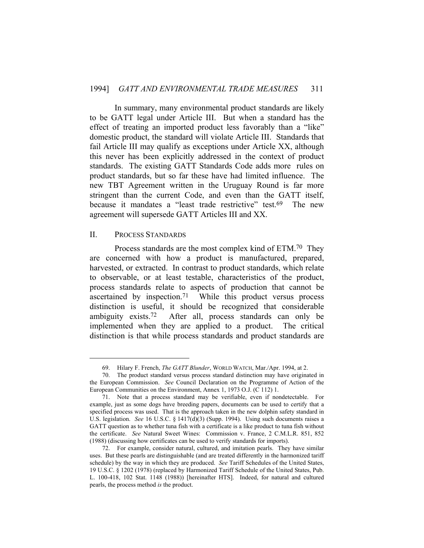In summary, many environmental product standards are likely to be GATT legal under Article III. But when a standard has the effect of treating an imported product less favorably than a "like" domestic product, the standard will violate Article III. Standards that fail Article III may qualify as exceptions under Article XX, although this never has been explicitly addressed in the context of product standards. The existing GATT Standards Code adds more rules on product standards, but so far these have had limited influence. The new TBT Agreement written in the Uruguay Round is far more stringent than the current Code, and even than the GATT itself, because it mandates a "least trade restrictive" test.<sup>69</sup> The new agreement will supersede GATT Articles III and XX.

#### II. PROCESS STANDARDS

 Process standards are the most complex kind of ETM.70 They are concerned with how a product is manufactured, prepared, harvested, or extracted. In contrast to product standards, which relate to observable, or at least testable, characteristics of the product, process standards relate to aspects of production that cannot be ascertained by inspection.71 While this product versus process distinction is useful, it should be recognized that considerable ambiguity exists.72 After all, process standards can only be implemented when they are applied to a product. The critical distinction is that while process standards and product standards are

 <sup>69.</sup> Hilary F. French, *The GATT Blunder*, WORLD WATCH, Mar./Apr. 1994, at 2.

 <sup>70.</sup> The product standard versus process standard distinction may have originated in the European Commission. *See* Council Declaration on the Programme of Action of the European Communities on the Environment, Annex 1, 1973 O.J. (C 112) 1.

 <sup>71.</sup> Note that a process standard may be verifiable, even if nondetectable. For example, just as some dogs have breeding papers, documents can be used to certify that a specified process was used. That is the approach taken in the new dolphin safety standard in U.S. legislation. *See* 16 U.S.C. § 1417(d)(3) (Supp. 1994). Using such documents raises a GATT question as to whether tuna fish with a certificate is a like product to tuna fish without the certificate. *See* Natural Sweet Wines: Commission v. France, 2 C.M.L.R. 851, 852 (1988) (discussing how certificates can be used to verify standards for imports).

 <sup>72.</sup> For example, consider natural, cultured, and imitation pearls. They have similar uses. But these pearls are distinguishable (and are treated differently in the harmonized tariff schedule) by the way in which they are produced. *See* Tariff Schedules of the United States, 19 U.S.C. § 1202 (1978) (replaced by Harmonized Tariff Schedule of the United States, Pub. L. 100-418, 102 Stat. 1148 (1988)) [hereinafter HTS]. Indeed, for natural and cultured pearls, the process method *is* the product.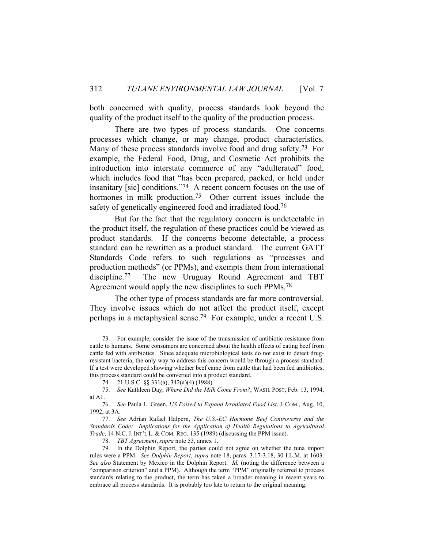both concerned with quality, process standards look beyond the quality of the product itself to the quality of the production process.

 There are two types of process standards. One concerns processes which change, or may change, product characteristics. Many of these process standards involve food and drug safety.<sup>73</sup> For example, the Federal Food, Drug, and Cosmetic Act prohibits the introduction into interstate commerce of any "adulterated" food, which includes food that "has been prepared, packed, or held under insanitary [sic] conditions."74 A recent concern focuses on the use of hormones in milk production.<sup>75</sup> Other current issues include the safety of genetically engineered food and irradiated food.<sup>76</sup>

 But for the fact that the regulatory concern is undetectable in the product itself, the regulation of these practices could be viewed as product standards. If the concerns become detectable, a process standard can be rewritten as a product standard. The current GATT Standards Code refers to such regulations as "processes and production methods" (or PPMs), and exempts them from international discipline.77 The new Uruguay Round Agreement and TBT Agreement would apply the new disciplines to such PPMs.78

 The other type of process standards are far more controversial. They involve issues which do not affect the product itself, except perhaps in a metaphysical sense.79 For example, under a recent U.S.

 <sup>73.</sup> For example, consider the issue of the transmission of antibiotic resistance from cattle to humans. Some consumers are concerned about the health effects of eating beef from cattle fed with antibiotics. Since adequate microbiological tests do not exist to detect drugresistant bacteria, the only way to address this concern would be through a process standard. If a test were developed showing whether beef came from cattle that had been fed antibiotics, this process standard could be converted into a product standard.

 <sup>74. 21</sup> U.S.C. §§ 331(a), 342(a)(4) (1988).

 <sup>75.</sup> *See* Kathleen Day, *Where Did the Milk Come From?*, WASH. POST, Feb. 13, 1994, at A1.

 <sup>76.</sup> *See* Paula L. Green, *US Poised to Expand Irradiated Food List*, J. COM., Aug. 10, 1992, at 3A.

 <sup>77.</sup> *See* Adrían Rafael Halpern, *The U.S.-EC Hormone Beef Controversy and the Standards Code: Implications for the Application of Health Regulations to Agricultural Trade*, 14 N.C. J. INT'L L. & COM. REG. 135 (1989) (discussing the PPM issue).

 <sup>78.</sup> *TBT Agreement*, *supra* note 53, annex 1.

 <sup>79.</sup> In the Dolphin Report, the parties could not agree on whether the tuna import rules were a PPM. *See Dolphin Report, supra* note 18, paras. 3.17-3.18, 30 I.L.M. at 1603. *See also* Statement by Mexico in the Dolphin Report. *Id.* (noting the difference between a "comparison criterion" and a PPM). Although the term "PPM" originally referred to process standards relating to the product, the term has taken a broader meaning in recent years to embrace all process standards. It is probably too late to return to the original meaning.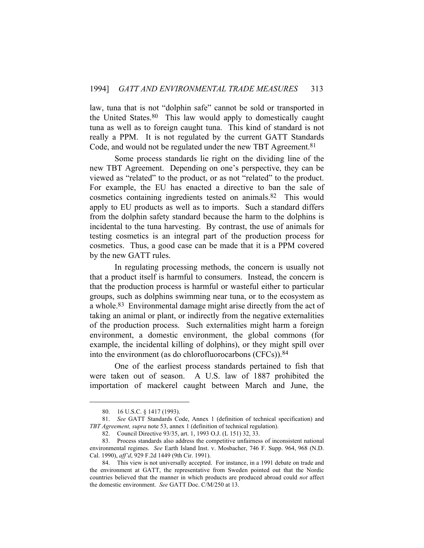law, tuna that is not "dolphin safe" cannot be sold or transported in the United States.80 This law would apply to domestically caught tuna as well as to foreign caught tuna. This kind of standard is not really a PPM. It is not regulated by the current GATT Standards Code, and would not be regulated under the new TBT Agreement.<sup>81</sup>

 Some process standards lie right on the dividing line of the new TBT Agreement. Depending on one's perspective, they can be viewed as "related" to the product, or as not "related" to the product. For example, the EU has enacted a directive to ban the sale of cosmetics containing ingredients tested on animals.82 This would apply to EU products as well as to imports. Such a standard differs from the dolphin safety standard because the harm to the dolphins is incidental to the tuna harvesting. By contrast, the use of animals for testing cosmetics is an integral part of the production process for cosmetics. Thus, a good case can be made that it is a PPM covered by the new GATT rules.

 In regulating processing methods, the concern is usually not that a product itself is harmful to consumers. Instead, the concern is that the production process is harmful or wasteful either to particular groups, such as dolphins swimming near tuna, or to the ecosystem as a whole.<sup>83</sup> Environmental damage might arise directly from the act of taking an animal or plant, or indirectly from the negative externalities of the production process. Such externalities might harm a foreign environment, a domestic environment, the global commons (for example, the incidental killing of dolphins), or they might spill over into the environment (as do chlorofluorocarbons (CFCs)).84

 One of the earliest process standards pertained to fish that were taken out of season. A U.S. law of 1887 prohibited the importation of mackerel caught between March and June, the

 <sup>80. 16</sup> U.S.C. § 1417 (1993).

 <sup>81.</sup> *See* GATT Standards Code, Annex 1 (definition of technical specification) and *TBT Agreement, supra* note 53, annex 1 (definition of technical regulation).

 <sup>82.</sup> Council Directive 93/35, art. 1, 1993 O.J. (L 151) 32, 33.

 <sup>83.</sup> Process standards also address the competitive unfairness of inconsistent national environmental regimes. *See* Earth Island Inst. v. Mosbacher, 746 F. Supp. 964, 968 (N.D. Cal. 1990), *aff'd*, 929 F.2d 1449 (9th Cir. 1991).

 <sup>84.</sup> This view is not universally accepted. For instance, in a 1991 debate on trade and the environment at GATT, the representative from Sweden pointed out that the Nordic countries believed that the manner in which products are produced abroad could *not* affect the domestic environment. *See* GATT Doc. C/M/250 at 13.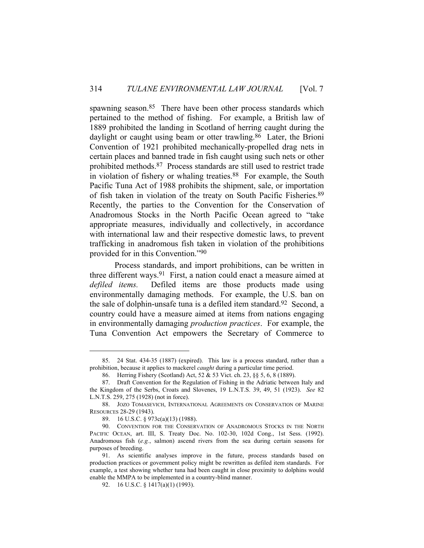spawning season.<sup>85</sup> There have been other process standards which pertained to the method of fishing. For example, a British law of 1889 prohibited the landing in Scotland of herring caught during the daylight or caught using beam or otter trawling.<sup>86</sup> Later, the Brioni Convention of 1921 prohibited mechanically-propelled drag nets in certain places and banned trade in fish caught using such nets or other prohibited methods.87 Process standards are still used to restrict trade in violation of fishery or whaling treaties.<sup>88</sup> For example, the South Pacific Tuna Act of 1988 prohibits the shipment, sale, or importation of fish taken in violation of the treaty on South Pacific Fisheries.89 Recently, the parties to the Convention for the Conservation of Anadromous Stocks in the North Pacific Ocean agreed to "take appropriate measures, individually and collectively, in accordance with international law and their respective domestic laws, to prevent trafficking in anadromous fish taken in violation of the prohibitions provided for in this Convention."90

 Process standards, and import prohibitions, can be written in three different ways.91 First, a nation could enact a measure aimed at *defiled items.* Defiled items are those products made using environmentally damaging methods. For example, the U.S. ban on the sale of dolphin-unsafe tuna is a defiled item standard.92 Second, a country could have a measure aimed at items from nations engaging in environmentally damaging *production practices*. For example, the Tuna Convention Act empowers the Secretary of Commerce to

 <sup>85. 24</sup> Stat. 434-35 (1887) (expired). This law is a process standard, rather than a prohibition, because it applies to mackerel *caught* during a particular time period.

 <sup>86.</sup> Herring Fishery (Scotland) Act, 52 & 53 Vict. ch. 23, §§ 5, 6, 8 (1889).

 <sup>87.</sup> Draft Convention for the Regulation of Fishing in the Adriatic between Italy and the Kingdom of the Serbs, Croats and Slovenes, 19 L.N.T.S. 39, 49, 51 (1923). *See* 82 L.N.T.S. 259, 275 (1928) (not in force).

 <sup>88.</sup> JOZO TOMASEVICH, INTERNATIONAL AGREEMENTS ON CONSERVATION OF MARINE RESOURCES 28-29 (1943).

 <sup>89. 16</sup> U.S.C. § 973c(a)(13) (1988).

 <sup>90.</sup> CONVENTION FOR THE CONSERVATION OF ANADROMOUS STOCKS IN THE NORTH PACIFIC OCEAN, art. III, S. Treaty Doc. No. 102-30, 102d Cong., 1st Sess. (1992). Anadromous fish (*e.g.*, salmon) ascend rivers from the sea during certain seasons for purposes of breeding.

 <sup>91.</sup> As scientific analyses improve in the future, process standards based on production practices or government policy might be rewritten as defiled item standards. For example, a test showing whether tuna had been caught in close proximity to dolphins would enable the MMPA to be implemented in a country-blind manner.

<sup>92. 16</sup> U.S.C. § 1417(a)(1) (1993).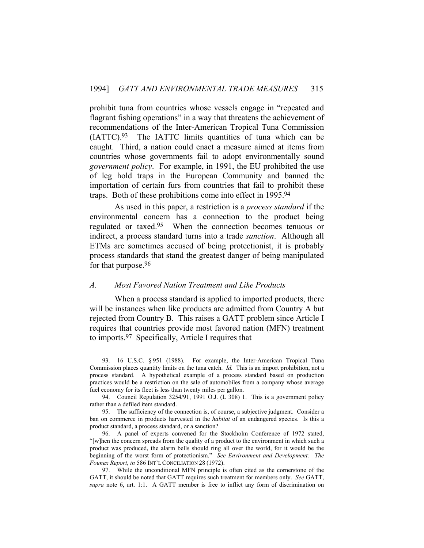prohibit tuna from countries whose vessels engage in "repeated and flagrant fishing operations" in a way that threatens the achievement of recommendations of the Inter-American Tropical Tuna Commission (IATTC).93 The IATTC limits quantities of tuna which can be caught. Third, a nation could enact a measure aimed at items from countries whose governments fail to adopt environmentally sound *government policy*. For example, in 1991, the EU prohibited the use of leg hold traps in the European Community and banned the importation of certain furs from countries that fail to prohibit these traps. Both of these prohibitions come into effect in 1995.94

 As used in this paper, a restriction is a *process standard* if the environmental concern has a connection to the product being regulated or taxed.95 When the connection becomes tenuous or indirect, a process standard turns into a trade *sanction*. Although all ETMs are sometimes accused of being protectionist, it is probably process standards that stand the greatest danger of being manipulated for that purpose.96

# *A. Most Favored Nation Treatment and Like Products*

 When a process standard is applied to imported products, there will be instances when like products are admitted from Country A but rejected from Country B. This raises a GATT problem since Article I requires that countries provide most favored nation (MFN) treatment to imports.97 Specifically, Article I requires that

 <sup>93. 16</sup> U.S.C. § 951 (1988). For example, the Inter-American Tropical Tuna Commission places quantity limits on the tuna catch. *Id.* This is an import prohibition, not a process standard. A hypothetical example of a process standard based on production practices would be a restriction on the sale of automobiles from a company whose average fuel economy for its fleet is less than twenty miles per gallon.

 <sup>94.</sup> Council Regulation 3254/91, 1991 O.J. (L 308) 1. This is a government policy rather than a defiled item standard.

 <sup>95.</sup> The sufficiency of the connection is, of course, a subjective judgment. Consider a ban on commerce in products harvested in the *habitat* of an endangered species. Is this a product standard, a process standard, or a sanction?

 <sup>96.</sup> A panel of experts convened for the Stockholm Conference of 1972 stated, "[w]hen the concern spreads from the quality of a product to the environment in which such a product was produced, the alarm bells should ring all over the world, for it would be the beginning of the worst form of protectionism." *See Environment and Development: The Founex Report*, *in* 586 INT'L CONCILIATION 28 (1972).

 <sup>97.</sup> While the unconditional MFN principle is often cited as the cornerstone of the GATT, it should be noted that GATT requires such treatment for members only. *See* GATT, *supra* note 6, art. 1:1. A GATT member is free to inflict any form of discrimination on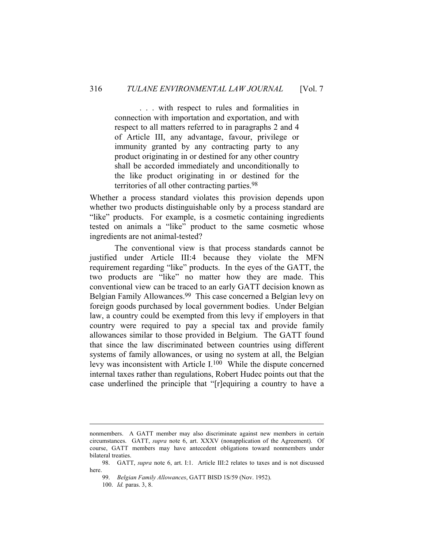. . . with respect to rules and formalities in connection with importation and exportation, and with respect to all matters referred to in paragraphs 2 and 4 of Article III, any advantage, favour, privilege or immunity granted by any contracting party to any product originating in or destined for any other country shall be accorded immediately and unconditionally to the like product originating in or destined for the territories of all other contracting parties.98

Whether a process standard violates this provision depends upon whether two products distinguishable only by a process standard are "like" products. For example, is a cosmetic containing ingredients tested on animals a "like" product to the same cosmetic whose ingredients are not animal-tested?

 The conventional view is that process standards cannot be justified under Article III:4 because they violate the MFN requirement regarding "like" products. In the eyes of the GATT, the two products are "like" no matter how they are made. This conventional view can be traced to an early GATT decision known as Belgian Family Allowances.99 This case concerned a Belgian levy on foreign goods purchased by local government bodies. Under Belgian law, a country could be exempted from this levy if employers in that country were required to pay a special tax and provide family allowances similar to those provided in Belgium. The GATT found that since the law discriminated between countries using different systems of family allowances, or using no system at all, the Belgian levy was inconsistent with Article I.100 While the dispute concerned internal taxes rather than regulations, Robert Hudec points out that the case underlined the principle that "[r]equiring a country to have a

nonmembers. A GATT member may also discriminate against new members in certain circumstances. GATT, *supra* note 6, art. XXXV (nonapplication of the Agreement). Of course, GATT members may have antecedent obligations toward nonmembers under bilateral treaties.

 <sup>98.</sup> GATT, *supra* note 6, art. I:1. Article III:2 relates to taxes and is not discussed here.

 <sup>99.</sup> *Belgian Family Allowances*, GATT BISD 1S/59 (Nov. 1952).

 <sup>100.</sup> *Id.* paras. 3, 8.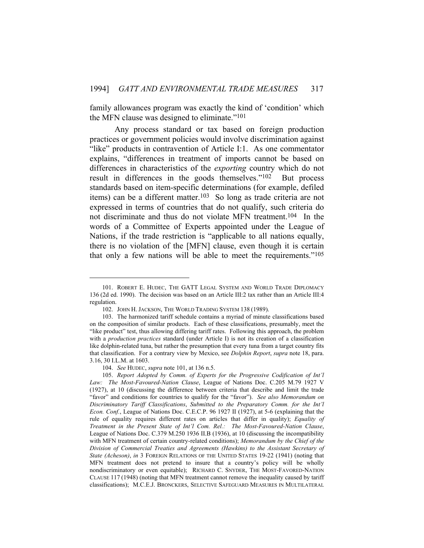family allowances program was exactly the kind of 'condition' which the MFN clause was designed to eliminate."101

 Any process standard or tax based on foreign production practices or government policies would involve discrimination against "like" products in contravention of Article I:1. As one commentator explains, "differences in treatment of imports cannot be based on differences in characteristics of the *exporting* country which do not result in differences in the goods themselves."102 But process standards based on item-specific determinations (for example, defiled items) can be a different matter.<sup>103</sup> So long as trade criteria are not expressed in terms of countries that do not qualify, such criteria do not discriminate and thus do not violate MFN treatment.104 In the words of a Committee of Experts appointed under the League of Nations, if the trade restriction is "applicable to all nations equally, there is no violation of the [MFN] clause, even though it is certain that only a few nations will be able to meet the requirements."105

 <sup>101.</sup> ROBERT E. HUDEC, THE GATT LEGAL SYSTEM AND WORLD TRADE DIPLOMACY 136 (2d ed. 1990). The decision was based on an Article III:2 tax rather than an Article III:4 regulation.

 <sup>102.</sup> JOHN H. JACKSON, THE WORLD TRADING SYSTEM 138 (1989).

 <sup>103.</sup> The harmonized tariff schedule contains a myriad of minute classifications based on the composition of similar products. Each of these classifications, presumably, meet the "like product" test, thus allowing differing tariff rates. Following this approach, the problem with a *production practices* standard (under Article I) is not its creation of a classification like dolphin-related tuna, but rather the presumption that every tuna from a target country fits that classification. For a contrary view by Mexico, see *Dolphin Report*, *supra* note 18, para. 3.16, 30 I.L.M. at 1603.

 <sup>104.</sup> *See* HUDEC, *supra* note 101, at 136 n.5.

 <sup>105.</sup> *Report Adopted by Comm. of Experts for the Progressive Codification of Int'l Law: The Most-Favoured-Nation Clause*, League of Nations Doc. C.205 M.79 1927 V (1927), at 10 (discussing the difference between criteria that describe and limit the trade "favor" and conditions for countries to qualify for the "favor"). *See also Memorandum on Discriminatory Tariff Classifications*, *Submitted to the Preparatory Comm. for the Int'l Econ. Conf.*, League of Nations Doc. C.E.C.P. 96 1927 II (1927), at 5-6 (explaining that the rule of equality requires different rates on articles that differ in quality); *Equality of Treatment in the Present State of Int'l Com. Rel.: The Most-Favoured-Nation Clause*, League of Nations Doc. C.379 M.250 1936 II.B (1936), at 10 (discussing the incompatibility with MFN treatment of certain country-related conditions); *Memorandum by the Chief of the Division of Commercial Treaties and Agreements (Hawkins) to the Assistant Secretary of State (Acheson)*, *in* 3 FOREIGN RELATIONS OF THE UNITED STATES 19-22 (1941) (noting that MFN treatment does not pretend to insure that a country's policy will be wholly nondiscriminatory or even equitable); RICHARD C. SNYDER, THE MOST-FAVORED-NATION CLAUSE 117 (1948) (noting that MFN treatment cannot remove the inequality caused by tariff classifications); M.C.E.J. BRONCKERS, SELECTIVE SAFEGUARD MEASURES IN MULTILATERAL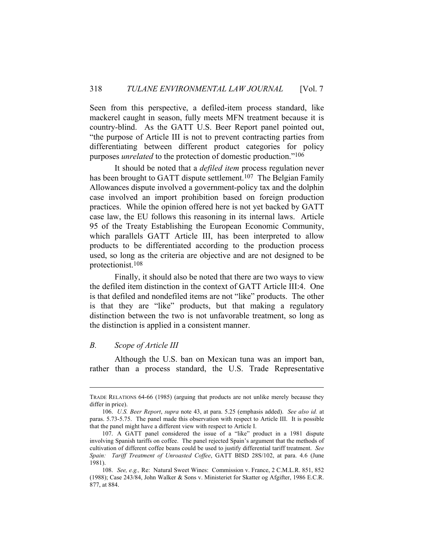Seen from this perspective, a defiled-item process standard, like mackerel caught in season, fully meets MFN treatment because it is country-blind. As the GATT U.S. Beer Report panel pointed out, "the purpose of Article III is not to prevent contracting parties from differentiating between different product categories for policy purposes *unrelated* to the protection of domestic production."106

 It should be noted that a *defiled item* process regulation never has been brought to GATT dispute settlement.<sup>107</sup> The Belgian Family Allowances dispute involved a government-policy tax and the dolphin case involved an import prohibition based on foreign production practices. While the opinion offered here is not yet backed by GATT case law, the EU follows this reasoning in its internal laws. Article 95 of the Treaty Establishing the European Economic Community, which parallels GATT Article III, has been interpreted to allow products to be differentiated according to the production process used, so long as the criteria are objective and are not designed to be protectionist.108

 Finally, it should also be noted that there are two ways to view the defiled item distinction in the context of GATT Article III:4. One is that defiled and nondefiled items are not "like" products. The other is that they are "like" products, but that making a regulatory distinction between the two is not unfavorable treatment, so long as the distinction is applied in a consistent manner.

#### *B. Scope of Article III*

 Although the U.S. ban on Mexican tuna was an import ban, rather than a process standard, the U.S. Trade Representative

TRADE RELATIONS 64-66 (1985) (arguing that products are not unlike merely because they differ in price).

 <sup>106.</sup> *U.S. Beer Report*, *supra* note 43, at para. 5.25 (emphasis added). *See also id.* at paras. 5.73-5.75. The panel made this observation with respect to Article III. It is possible that the panel might have a different view with respect to Article I.

 <sup>107.</sup> A GATT panel considered the issue of a "like" product in a 1981 dispute involving Spanish tariffs on coffee. The panel rejected Spain's argument that the methods of cultivation of different coffee beans could be used to justify differential tariff treatment. *See Spain: Tariff Treatment of Unroasted Coffee*, GATT BISD 28S/102, at para. 4.6 (June 1981).

 <sup>108.</sup> *See, e.g.,* Re: Natural Sweet Wines: Commission v. France, 2 C.M.L.R. 851, 852 (1988); Case 243/84, John Walker & Sons v. Ministeriet for Skatter og Afgifter, 1986 E.C.R. 877, at 884.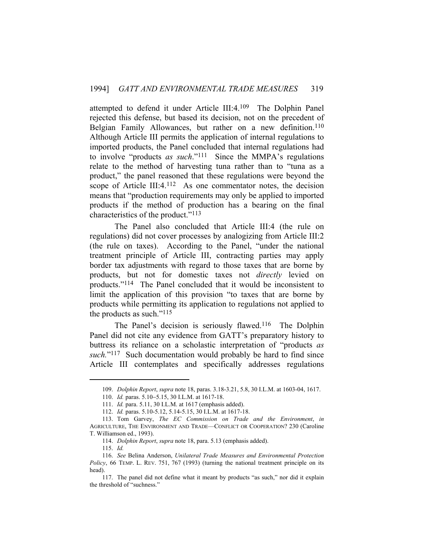attempted to defend it under Article III:4.109 The Dolphin Panel rejected this defense, but based its decision, not on the precedent of Belgian Family Allowances, but rather on a new definition.<sup>110</sup> Although Article III permits the application of internal regulations to imported products, the Panel concluded that internal regulations had to involve "products *as such*."111 Since the MMPA's regulations relate to the method of harvesting tuna rather than to "tuna as a product," the panel reasoned that these regulations were beyond the scope of Article III:4.<sup>112</sup> As one commentator notes, the decision means that "production requirements may only be applied to imported products if the method of production has a bearing on the final characteristics of the product."113

 The Panel also concluded that Article III:4 (the rule on regulations) did not cover processes by analogizing from Article III:2 (the rule on taxes). According to the Panel, "under the national treatment principle of Article III, contracting parties may apply border tax adjustments with regard to those taxes that are borne by products, but not for domestic taxes not *directly* levied on products."114 The Panel concluded that it would be inconsistent to limit the application of this provision "to taxes that are borne by products while permitting its application to regulations not applied to the products as such."115

The Panel's decision is seriously flawed.<sup>116</sup> The Dolphin Panel did not cite any evidence from GATT's preparatory history to buttress its reliance on a scholastic interpretation of "products *as such.*"117 Such documentation would probably be hard to find since Article III contemplates and specifically addresses regulations

 <sup>109.</sup> *Dolphin Report*, *supra* note 18, paras. 3.18-3.21, 5.8, 30 I.L.M. at 1603-04, 1617.

<sup>110.</sup> *Id.* paras. 5.10–5.15, 30 I.L.M. at 1617-18.

 <sup>111.</sup> *Id.* para. 5.11, 30 I.L.M. at 1617 (emphasis added).

 <sup>112.</sup> *Id.* paras. 5.10-5.12, 5.14-5.15, 30 I.L.M. at 1617-18.

 <sup>113.</sup> Tom Garvey, *The EC Commission on Trade and the Environment*, *in*  AGRICULTURE, THE ENVIRONMENT AND TRADE—CONFLICT OR COOPERATION? 230 (Caroline T. Williamson ed., 1993).

 <sup>114.</sup> *Dolphin Report*, *supra* note 18, para. 5.13 (emphasis added).

 <sup>115.</sup> *Id.*

 <sup>116.</sup> *See* Belina Anderson, *Unilateral Trade Measures and Environmental Protection Policy*, 66 TEMP. L. REV. 751, 767 (1993) (turning the national treatment principle on its head).

 <sup>117.</sup> The panel did not define what it meant by products "as such," nor did it explain the threshold of "suchness."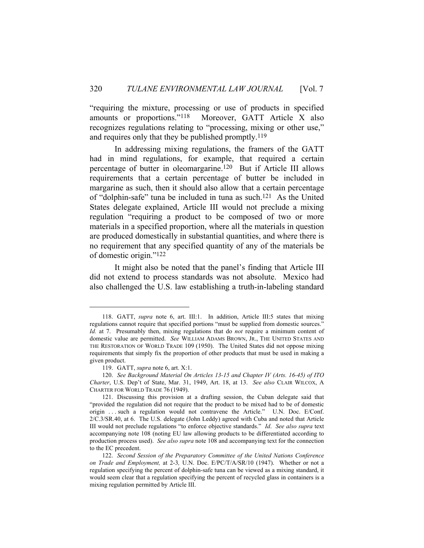"requiring the mixture, processing or use of products in specified amounts or proportions."118 Moreover, GATT Article X also recognizes regulations relating to "processing, mixing or other use," and requires only that they be published promptly.<sup>119</sup>

 In addressing mixing regulations, the framers of the GATT had in mind regulations, for example, that required a certain percentage of butter in oleomargarine.120 But if Article III allows requirements that a certain percentage of butter be included in margarine as such, then it should also allow that a certain percentage of "dolphin-safe" tuna be included in tuna as such.121 As the United States delegate explained, Article III would not preclude a mixing regulation "requiring a product to be composed of two or more materials in a specified proportion, where all the materials in question are produced domestically in substantial quantities, and where there is no requirement that any specified quantity of any of the materials be of domestic origin."122

 It might also be noted that the panel's finding that Article III did not extend to process standards was not absolute. Mexico had also challenged the U.S. law establishing a truth-in-labeling standard

 <sup>118.</sup> GATT, *supra* note 6, art. III:1. In addition, Article III:5 states that mixing regulations cannot require that specified portions "must be supplied from domestic sources." *Id.* at 7. Presumably then, mixing regulations that do *not* require a minimum content of domestic value are permitted. *See* WILLIAM ADAMS BROWN, JR., THE UNITED STATES AND THE RESTORATION OF WORLD TRADE 109 (1950). The United States did not oppose mixing requirements that simply fix the proportion of other products that must be used in making a given product.

 <sup>119.</sup> GATT, *supra* note 6, art. X:1.

 <sup>120.</sup> *See Background Material On Articles 13-15 and Chapter IV (Arts. 16-45) of ITO Charter*, U.S. Dep't of State, Mar. 31, 1949, Art. 18, at 13. *See also* CLAIR WILCOX, A CHARTER FOR WORLD TRADE 76 (1949).

 <sup>121.</sup> Discussing this provision at a drafting session, the Cuban delegate said that "provided the regulation did not require that the product to be mixed had to be of domestic origin ... such a regulation would not contravene the Article." U.N. Doc. E/Conf. 2/C.3/SR.40, at 6. The U.S. delegate (John Leddy) agreed with Cuba and noted that Article III would not preclude regulations "to enforce objective standards." *Id*. *See also supra* text accompanying note 108 (noting EU law allowing products to be differentiated according to production process used). *See also supra* note 108 and accompanying text for the connection to the EC precedent.

 <sup>122.</sup> *Second Session of the Preparatory Committee of the United Nations Conference on Trade and Employment,* at 2-3*,* U.N. Doc. E/PC/T/A/SR/10 (1947). Whether or not a regulation specifying the percent of dolphin-safe tuna can be viewed as a mixing standard, it would seem clear that a regulation specifying the percent of recycled glass in containers is a mixing regulation permitted by Article III.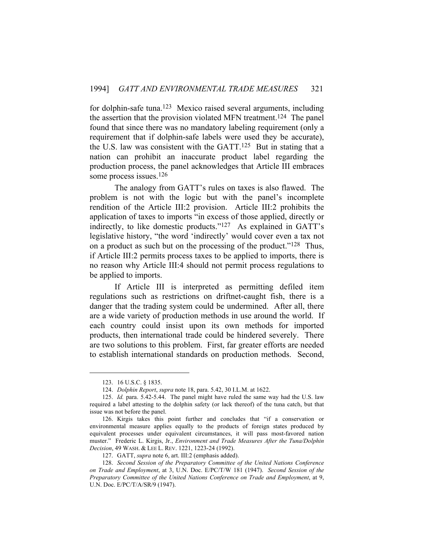for dolphin-safe tuna.123 Mexico raised several arguments, including the assertion that the provision violated MFN treatment.124 The panel found that since there was no mandatory labeling requirement (only a requirement that if dolphin-safe labels were used they be accurate), the U.S. law was consistent with the GATT.125 But in stating that a nation can prohibit an inaccurate product label regarding the production process, the panel acknowledges that Article III embraces some process issues.<sup>126</sup>

 The analogy from GATT's rules on taxes is also flawed. The problem is not with the logic but with the panel's incomplete rendition of the Article III:2 provision. Article III:2 prohibits the application of taxes to imports "in excess of those applied, directly or indirectly, to like domestic products."127 As explained in GATT's legislative history, "the word 'indirectly' would cover even a tax not on a product as such but on the processing of the product."128 Thus, if Article III:2 permits process taxes to be applied to imports, there is no reason why Article III:4 should not permit process regulations to be applied to imports.

 If Article III is interpreted as permitting defiled item regulations such as restrictions on driftnet-caught fish, there is a danger that the trading system could be undermined. After all, there are a wide variety of production methods in use around the world. If each country could insist upon its own methods for imported products, then international trade could be hindered severely. There are two solutions to this problem. First, far greater efforts are needed to establish international standards on production methods. Second,

 <sup>123. 16</sup> U.S.C. § 1835.

 <sup>124.</sup> *Dolphin Report*, *supra* note 18, para. 5.42, 30 I.L.M. at 1622.

 <sup>125.</sup> *Id.* para. 5.42-5.44. The panel might have ruled the same way had the U.S. law required a label attesting to the dolphin safety (or lack thereof) of the tuna catch, but that issue was not before the panel.

 <sup>126.</sup> Kirgis takes this point further and concludes that "if a conservation or environmental measure applies equally to the products of foreign states produced by equivalent processes under equivalent circumstances, it will pass most-favored nation muster." Frederic L. Kirgis, Jr., *Environment and Trade Measures After the Tuna/Dolphin Decision*, 49 WASH. & LEE L. REV. 1221, 1223-24 (1992).

 <sup>127.</sup> GATT, *supra* note 6, art. III:2 (emphasis added).

 <sup>128.</sup> *Second Session of the Preparatory Committee of the United Nations Conference on Trade and Employment*, at 3, U.N. Doc. E/PC/T/W 181 (1947). *Second Session of the Preparatory Committee of the United Nations Conference on Trade and Employment*, at 9, U.N. Doc. E/PC/T/A/SR/9 (1947).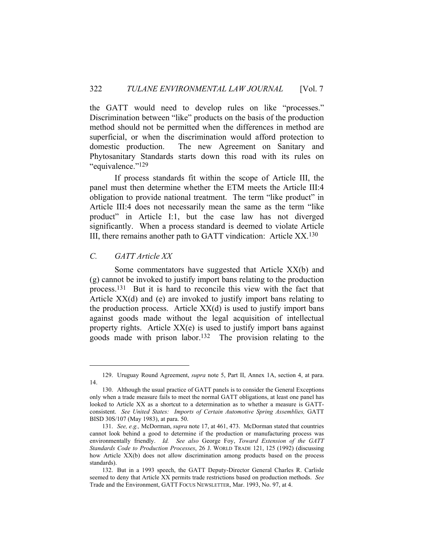the GATT would need to develop rules on like "processes." Discrimination between "like" products on the basis of the production method should not be permitted when the differences in method are superficial, or when the discrimination would afford protection to domestic production. The new Agreement on Sanitary and Phytosanitary Standards starts down this road with its rules on "equivalence."129

 If process standards fit within the scope of Article III, the panel must then determine whether the ETM meets the Article III:4 obligation to provide national treatment. The term "like product" in Article III:4 does not necessarily mean the same as the term "like product" in Article I:1, but the case law has not diverged significantly. When a process standard is deemed to violate Article III, there remains another path to GATT vindication: Article XX.130

# *C. GATT Article XX*

 Some commentators have suggested that Article XX(b) and (g) cannot be invoked to justify import bans relating to the production process.131 But it is hard to reconcile this view with the fact that Article XX(d) and (e) are invoked to justify import bans relating to the production process. Article  $XX(d)$  is used to justify import bans against goods made without the legal acquisition of intellectual property rights. Article XX(e) is used to justify import bans against goods made with prison labor.132 The provision relating to the

 <sup>129.</sup> Uruguay Round Agreement, *supra* note 5, Part II, Annex 1A, section 4, at para. 14.

 <sup>130.</sup> Although the usual practice of GATT panels is to consider the General Exceptions only when a trade measure fails to meet the normal GATT obligations, at least one panel has looked to Article XX as a shortcut to a determination as to whether a measure is GATTconsistent. *See United States: Imports of Certain Automotive Spring Assemblies,* GATT BISD 30S/107 (May 1983), at para. 50.

 <sup>131.</sup> *See, e.g.,* McDorman, *supra* note 17, at 461, 473. McDorman stated that countries cannot look behind a good to determine if the production or manufacturing process was environmentally friendly. *Id. See also* George Foy, *Toward Extension of the GATT Standards Code to Production Processes*, 26 J. WORLD TRADE 121, 125 (1992) (discussing how Article XX(b) does not allow discrimination among products based on the process standards).

 <sup>132.</sup> But in a 1993 speech, the GATT Deputy-Director General Charles R. Carlisle seemed to deny that Article XX permits trade restrictions based on production methods. *See*  Trade and the Environment, GATT FOCUS NEWSLETTER, Mar. 1993, No. 97, at 4.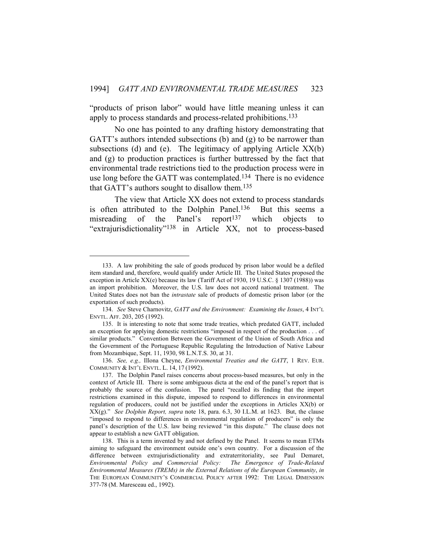"products of prison labor" would have little meaning unless it can apply to process standards and process-related prohibitions.<sup>133</sup>

 No one has pointed to any drafting history demonstrating that GATT's authors intended subsections (b) and (g) to be narrower than subsections (d) and (e). The legitimacy of applying Article  $XX(b)$ and (g) to production practices is further buttressed by the fact that environmental trade restrictions tied to the production process were in use long before the GATT was contemplated.<sup>134</sup> There is no evidence that GATT's authors sought to disallow them.135

 The view that Article XX does not extend to process standards is often attributed to the Dolphin Panel.136 But this seems a misreading of the Panel's report<sup>137</sup> which objects to "extrajurisdictionality"138 in Article XX, not to process-based

 <sup>133.</sup> A law prohibiting the sale of goods produced by prison labor would be a defiled item standard and, therefore, would qualify under Article III. The United States proposed the exception in Article XX(e) because its law (Tariff Act of 1930, 19 U.S.C. § 1307 (1988)) was an import prohibition. Moreover, the U.S. law does not accord national treatment. The United States does not ban the *intrastate* sale of products of domestic prison labor (or the exportation of such products).

 <sup>134.</sup> *See* Steve Charnovitz, *GATT and the Environment: Examining the Issues*, 4 INT'L ENVTL. AFF. 203, 205 (1992).

 <sup>135.</sup> It is interesting to note that some trade treaties, which predated GATT, included an exception for applying domestic restrictions "imposed in respect of the production . . . of similar products." Convention Between the Government of the Union of South Africa and the Government of the Portuguese Republic Regulating the Introduction of Native Labour from Mozambique, Sept. 11, 1930, 98 L.N.T.S. 30, at 31.

 <sup>136.</sup> *See, e.g.,* Illona Cheyne, *Environmental Treaties and the GATT*, 1 REV. EUR. COMMUNITY & INT'L ENVTL. L. 14, 17 (1992).

 <sup>137.</sup> The Dolphin Panel raises concerns about process-based measures, but only in the context of Article III. There is some ambiguous dicta at the end of the panel's report that is probably the source of the confusion. The panel "recalled its finding that the import restrictions examined in this dispute, imposed to respond to differences in environmental regulation of producers, could not be justified under the exceptions in Articles XX(b) or XX(g)." *See Dolphin Report, supra* note 18, para. 6.3, 30 I.L.M. at 1623. But, the clause "imposed to respond to differences in environmental regulation of producers" is only the panel's description of the U.S. law being reviewed "in this dispute." The clause does not appear to establish a new GATT obligation.

 <sup>138.</sup> This is a term invented by and not defined by the Panel. It seems to mean ETMs aiming to safeguard the environment outside one's own country. For a discussion of the difference between extrajurisdictionality and extraterritoriality, see Paul Demaret, *Environmental Policy and Commercial Policy: The Emergence of Trade-Related Environmental Measures (TREMs) in the External Relations of the European Community*, *in*  THE EUROPEAN COMMUNITY'S COMMERCIAL POLICY AFTER 1992: THE LEGAL DIMENSION 377-78 (M. Maresceau ed., 1992).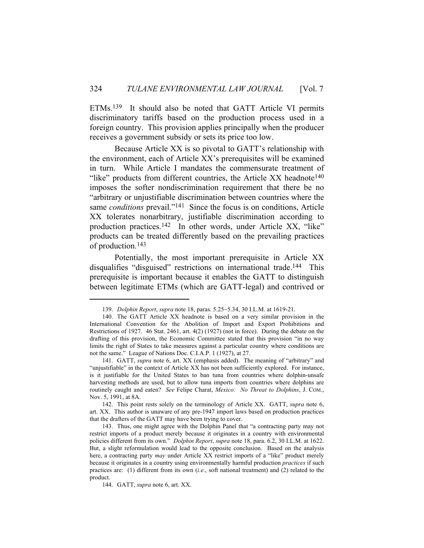ETMs.139 It should also be noted that GATT Article VI permits discriminatory tariffs based on the production process used in a foreign country. This provision applies principally when the producer receives a government subsidy or sets its price too low.

 Because Article XX is so pivotal to GATT's relationship with the environment, each of Article XX's prerequisites will be examined in turn. While Article I mandates the commensurate treatment of "like" products from different countries, the Article  $XX$  headnote  $140$ imposes the softer nondiscrimination requirement that there be no "arbitrary or unjustifiable discrimination between countries where the same *conditions* prevail."<sup>141</sup> Since the focus is on conditions, Article XX tolerates nonarbitrary, justifiable discrimination according to production practices.142 In other words, under Article XX, "like" products can be treated differently based on the prevailing practices of production.143

 Potentially, the most important prerequisite in Article XX disqualifies "disguised" restrictions on international trade.<sup>144</sup> This prerequisite is important because it enables the GATT to distinguish between legitimate ETMs (which are GATT-legal) and contrived or

<sup>139.</sup> *Dolphin Report, supra* note 18, paras. 5.25-5.34, 30 I.L.M. at 1619-21.

 <sup>140.</sup> The GATT Article XX headnote is based on a very similar provision in the International Convention for the Abolition of Import and Export Prohibitions and Restrictions of 1927. 46 Stat. 2461, art. 4(2) (1927) (not in force). During the debate on the drafting of this provision, the Economic Committee stated that this provision "in no way limits the right of States to take measures against a particular country where conditions are not the same." League of Nations Doc. C.I.A.P. 1 (1927), at 27.

 <sup>141.</sup> GATT, *supra* note 6, art. XX (emphasis added). The meaning of "arbitrary" and "unjustifiable" in the context of Article XX has not been sufficiently explored. For instance, is it justifiable for the United States to ban tuna from countries where dolphin-unsafe harvesting methods are used, but to allow tuna imports from countries where dolphins are routinely caught and eaten? *See* Felipe Charat, *Mexico: No Threat to Dolphins*, J. COM., Nov. 5, 1991, at 8A.

 <sup>142.</sup> This point rests solely on the terminology of Article XX. GATT, *supra* note 6, art. XX. This author is unaware of any pre-1947 import laws based on production practices that the drafters of the GATT may have been trying to cover.

 <sup>143.</sup> Thus, one might agree with the Dolphin Panel that "a contracting party may not restrict imports of a product merely because it originates in a country with environmental policies different from its own." *Dolphin Report*, *supra* note 18, para. 6.2, 30 I.L.M. at 1622. But, a slight reformulation would lead to the opposite conclusion. Based on the analysis here, a contracting party *may* under Article XX restrict imports of a "like" product merely because it originates in a country using environmentally harmful production *practices* if such practices are: (1) different from its own (*i.e.*, soft national treatment) and (2) related to the product.

 <sup>144.</sup> GATT, *supra* note 6, art. XX.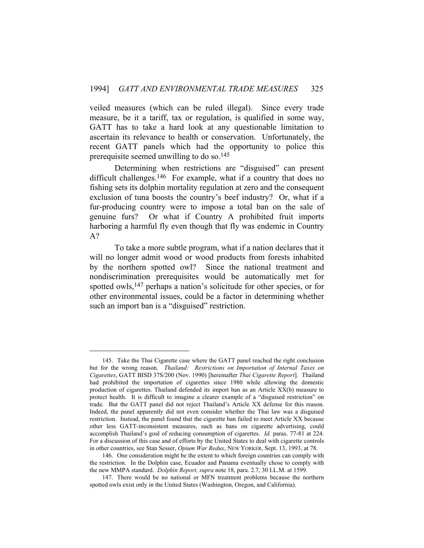veiled measures (which can be ruled illegal). Since every trade measure, be it a tariff, tax or regulation, is qualified in some way, GATT has to take a hard look at any questionable limitation to ascertain its relevance to health or conservation. Unfortunately, the recent GATT panels which had the opportunity to police this prerequisite seemed unwilling to do so.145

 Determining when restrictions are "disguised" can present difficult challenges.<sup>146</sup> For example, what if a country that does no fishing sets its dolphin mortality regulation at zero and the consequent exclusion of tuna boosts the country's beef industry? Or, what if a fur-producing country were to impose a total ban on the sale of genuine furs? Or what if Country A prohibited fruit imports harboring a harmful fly even though that fly was endemic in Country A?

 To take a more subtle program, what if a nation declares that it will no longer admit wood or wood products from forests inhabited by the northern spotted owl? Since the national treatment and nondiscrimination prerequisites would be automatically met for spotted owls,<sup>147</sup> perhaps a nation's solicitude for other species, or for other environmental issues, could be a factor in determining whether such an import ban is a "disguised" restriction.

 <sup>145.</sup> Take the Thai Cigarette case where the GATT panel reached the right conclusion but for the wrong reason. *Thailand: Restrictions on Importation of Internal Taxes on Cigarettes*, GATT BISD 37S/200 (Nov. 1990) [hereinafter *Thai Cigarette Report*]. Thailand had prohibited the importation of cigarettes since 1980 while allowing the domestic production of cigarettes. Thailand defended its import ban as an Article XX(b) measure to protect health. It is difficult to imagine a clearer example of a "disguised restriction" on trade. But the GATT panel did not reject Thailand's Article XX defense for this reason. Indeed, the panel apparently did not even consider whether the Thai law was a disguised restriction. Instead, the panel found that the cigarette ban failed to meet Article XX because other less GATT-inconsistent measures, such as bans on cigarette advertising, could accomplish Thailand's goal of reducing consumption of cigarettes. *Id.* paras. 77-81 at 224. For a discussion of this case and of efforts by the United States to deal with cigarette controls in other countries, see Stan Sesser, *Opium War Redux*, NEW YORKER, Sept. 13, 1993, at 78.

 <sup>146.</sup> One consideration might be the extent to which foreign countries can comply with the restriction. In the Dolphin case, Ecuador and Panama eventually chose to comply with the new MMPA standard. *Dolphin Report, supra* note 18, para. 2.7, 30 I.L.M. at 1599.

 <sup>147.</sup> There would be no national or MFN treatment problems because the northern spotted owls exist only in the United States (Washington, Oregon, and California).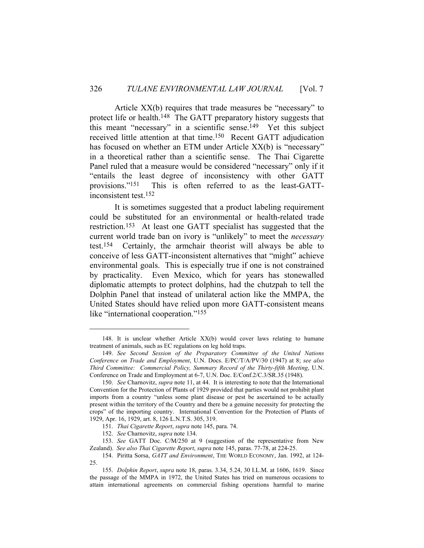Article XX(b) requires that trade measures be "necessary" to protect life or health.<sup>148</sup> The GATT preparatory history suggests that this meant "necessary" in a scientific sense.149 Yet this subject received little attention at that time.150 Recent GATT adjudication has focused on whether an ETM under Article XX(b) is "necessary" in a theoretical rather than a scientific sense. The Thai Cigarette Panel ruled that a measure would be considered "necessary" only if it "entails the least degree of inconsistency with other GATT provisions."151 This is often referred to as the least-GATTinconsistent test.152

 It is sometimes suggested that a product labeling requirement could be substituted for an environmental or health-related trade restriction.153 At least one GATT specialist has suggested that the current world trade ban on ivory is "unlikely" to meet the *necessary* test.154 Certainly, the armchair theorist will always be able to conceive of less GATT-inconsistent alternatives that "might" achieve environmental goals. This is especially true if one is not constrained by practicality. Even Mexico, which for years has stonewalled diplomatic attempts to protect dolphins, had the chutzpah to tell the Dolphin Panel that instead of unilateral action like the MMPA, the United States should have relied upon more GATT-consistent means like "international cooperation."<sup>155</sup>

 <sup>148.</sup> It is unclear whether Article XX(b) would cover laws relating to humane treatment of animals, such as EC regulations on leg hold traps.

 <sup>149.</sup> *See Second Session of the Preparatory Committee of the United Nations Conference on Trade and Employment*, U.N. Docs. E/PC/T/A/PV/30 (1947) at 8; *see also Third Committee: Commercial Policy, Summary Record of the Thirty-fifth Meeting*, U.N. Conference on Trade and Employment at 6-7, U.N. Doc. E/Conf.2/C.3/SR.35 (1948).

 <sup>150.</sup> *See* Charnovitz, *supra* note 11, at 44. It is interesting to note that the International Convention for the Protection of Plants of 1929 provided that parties would not prohibit plant imports from a country "unless some plant disease or pest be ascertained to be actually present within the territory of the Country and there be a genuine necessity for protecting the crops" of the importing country. International Convention for the Protection of Plants of 1929, Apr. 16, 1929, art. 8, 126 L.N.T.S. 305, 319.

 <sup>151.</sup> *Thai Cigarette Report*, *supra* note 145, para. 74.

 <sup>152.</sup> *See* Charnovitz, *supra* note 134.

 <sup>153.</sup> *See* GATT Doc. C/M/250 at 9 (suggestion of the representative from New Zealand). *See also Thai Cigarette Report*, *supra* note 145, paras. 77-78, at 224-25.

 <sup>154.</sup> Piritta Sorsa, *GATT and Environment*, THE WORLD ECONOMY, Jan. 1992, at 124- 25.

 <sup>155.</sup> *Dolphin Report*, *supra* note 18, paras. 3.34, 5.24, 30 I.L.M. at 1606, 1619. Since the passage of the MMPA in 1972, the United States has tried on numerous occasions to attain international agreements on commercial fishing operations harmful to marine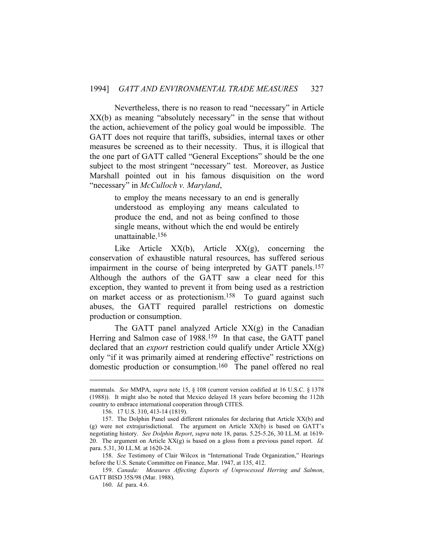Nevertheless, there is no reason to read "necessary" in Article XX(b) as meaning "absolutely necessary" in the sense that without the action, achievement of the policy goal would be impossible. The GATT does not require that tariffs, subsidies, internal taxes or other measures be screened as to their necessity. Thus, it is illogical that the one part of GATT called "General Exceptions" should be the one subject to the most stringent "necessary" test. Moreover, as Justice Marshall pointed out in his famous disquisition on the word "necessary" in *McCulloch v. Maryland*,

> to employ the means necessary to an end is generally understood as employing any means calculated to produce the end, and not as being confined to those single means, without which the end would be entirely unattainable.156

Like Article  $XX(b)$ , Article  $XX(g)$ , concerning the conservation of exhaustible natural resources, has suffered serious impairment in the course of being interpreted by GATT panels.157 Although the authors of the GATT saw a clear need for this exception, they wanted to prevent it from being used as a restriction on market access or as protectionism.<sup>158</sup> To guard against such abuses, the GATT required parallel restrictions on domestic production or consumption.

The GATT panel analyzed Article  $XX(g)$  in the Canadian Herring and Salmon case of 1988.<sup>159</sup> In that case, the GATT panel declared that an *export* restriction could qualify under Article XX(g) only "if it was primarily aimed at rendering effective" restrictions on domestic production or consumption.160 The panel offered no real

mammals. *See* MMPA, *supra* note 15, § 108 (current version codified at 16 U.S.C. § 1378 (1988)). It might also be noted that Mexico delayed 18 years before becoming the 112th country to embrace international cooperation through CITES.

 <sup>156. 17</sup> U.S. 310, 413-14 (1819).

 <sup>157.</sup> The Dolphin Panel used different rationales for declaring that Article XX(b) and (g) were not extrajurisdictional. The argument on Article XX(b) is based on GATT's negotiating history. *See Dolphin Report*, *supra* note 18, paras. 5.25-5.26, 30 I.L.M. at 1619- 20. The argument on Article XX(g) is based on a gloss from a previous panel report. *Id.* para. 5.31, 30 I.L.M. at 1620-24.

 <sup>158.</sup> *See* Testimony of Clair Wilcox in "International Trade Organization," Hearings before the U.S. Senate Committee on Finance, Mar. 1947, at 135, 412.

 <sup>159.</sup> *Canada: Measures Affecting Exports of Unprocessed Herring and Salmon*, GATT BISD 35S/98 (Mar. 1988).

 <sup>160.</sup> *Id.* para. 4.6.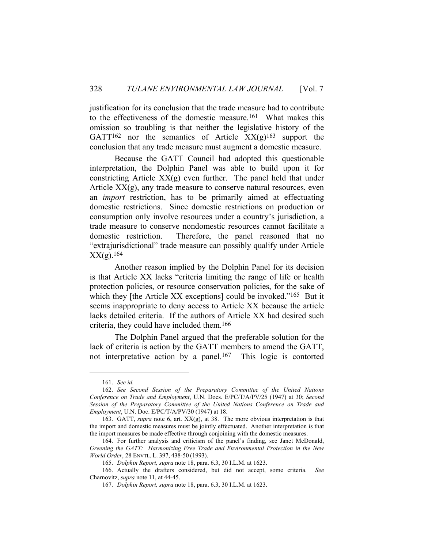justification for its conclusion that the trade measure had to contribute to the effectiveness of the domestic measure.161 What makes this omission so troubling is that neither the legislative history of the GATT<sup>162</sup> nor the semantics of Article  $XX(g)^{163}$  support the conclusion that any trade measure must augment a domestic measure.

 Because the GATT Council had adopted this questionable interpretation, the Dolphin Panel was able to build upon it for constricting Article  $XX(g)$  even further. The panel held that under Article  $XX(g)$ , any trade measure to conserve natural resources, even an *import* restriction, has to be primarily aimed at effectuating domestic restrictions. Since domestic restrictions on production or consumption only involve resources under a country's jurisdiction, a trade measure to conserve nondomestic resources cannot facilitate a domestic restriction. Therefore, the panel reasoned that no "extrajurisdictional" trade measure can possibly qualify under Article XX(g).164

 Another reason implied by the Dolphin Panel for its decision is that Article XX lacks "criteria limiting the range of life or health protection policies, or resource conservation policies, for the sake of which they [the Article XX exceptions] could be invoked."<sup>165</sup> But it seems inappropriate to deny access to Article XX because the article lacks detailed criteria. If the authors of Article XX had desired such criteria, they could have included them.166

 The Dolphin Panel argued that the preferable solution for the lack of criteria is action by the GATT members to amend the GATT, not interpretative action by a panel.<sup>167</sup> This logic is contorted

 <sup>161.</sup> *See id.*

 <sup>162.</sup> *See Second Session of the Preparatory Committee of the United Nations Conference on Trade and Employment*, U.N. Docs. E/PC/T/A/PV/25 (1947) at 30; *Second Session of the Preparatory Committee of the United Nations Conference on Trade and Employment*, U.N. Doc. E/PC/T/A/PV/30 (1947) at 18.

 <sup>163.</sup> GATT, *supra* note 6, art. XX(g), at 38. The more obvious interpretation is that the import and domestic measures must be jointly effectuated. Another interpretation is that the import measures be made effective through conjoining with the domestic measures.

 <sup>164.</sup> For further analysis and criticism of the panel's finding, see Janet McDonald, *Greening the GATT: Harmonizing Free Trade and Environmental Protection in the New World Order*, 28 ENVTL. L. 397, 438-50 (1993).

 <sup>165.</sup> *Dolphin Report, supra* note 18, para. 6.3, 30 I.L.M. at 1623.

 <sup>166.</sup> Actually the drafters considered, but did not accept, some criteria. *See* Charnovitz, *supra* note 11, at 44-45.

 <sup>167.</sup> *Dolphin Report, supra* note 18, para. 6.3, 30 I.L.M. at 1623.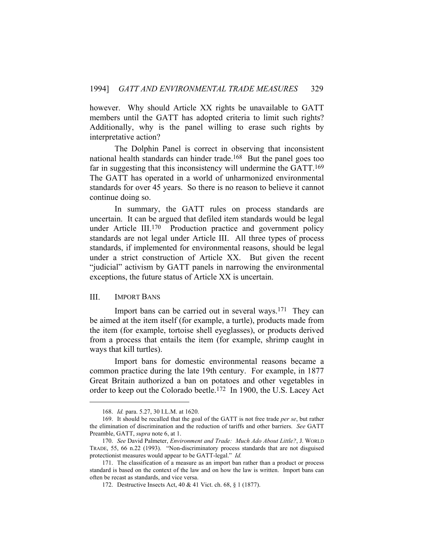however. Why should Article XX rights be unavailable to GATT members until the GATT has adopted criteria to limit such rights? Additionally, why is the panel willing to erase such rights by interpretative action?

 The Dolphin Panel is correct in observing that inconsistent national health standards can hinder trade.168 But the panel goes too far in suggesting that this inconsistency will undermine the GATT.<sup>169</sup> The GATT has operated in a world of unharmonized environmental standards for over 45 years. So there is no reason to believe it cannot continue doing so.

 In summary, the GATT rules on process standards are uncertain. It can be argued that defiled item standards would be legal under Article III.<sup>170</sup> Production practice and government policy standards are not legal under Article III. All three types of process standards, if implemented for environmental reasons, should be legal under a strict construction of Article XX. But given the recent "judicial" activism by GATT panels in narrowing the environmental exceptions, the future status of Article XX is uncertain.

#### III. IMPORT BANS

 Import bans can be carried out in several ways.171 They can be aimed at the item itself (for example, a turtle), products made from the item (for example, tortoise shell eyeglasses), or products derived from a process that entails the item (for example, shrimp caught in ways that kill turtles).

 Import bans for domestic environmental reasons became a common practice during the late 19th century. For example, in 1877 Great Britain authorized a ban on potatoes and other vegetables in order to keep out the Colorado beetle.172 In 1900, the U.S. Lacey Act

 <sup>168.</sup> *Id.* para. 5.27, 30 I.L.M. at 1620.

 <sup>169.</sup> It should be recalled that the goal of the GATT is not free trade *per se*, but rather the elimination of discrimination and the reduction of tariffs and other barriers. *See* GATT Preamble, GATT, *supra* note 6, at 1.

 <sup>170.</sup> *See* David Palmeter, *Environment and Trade: Much Ado About Little?*, J. WORLD TRADE, 55, 66 n.22 (1993). "Non-discriminatory process standards that are not disguised protectionist measures would appear to be GATT-legal." *Id.*

 <sup>171.</sup> The classification of a measure as an import ban rather than a product or process standard is based on the context of the law and on how the law is written. Import bans can often be recast as standards, and vice versa.

 <sup>172.</sup> Destructive Insects Act, 40 & 41 Vict. ch. 68, § 1 (1877).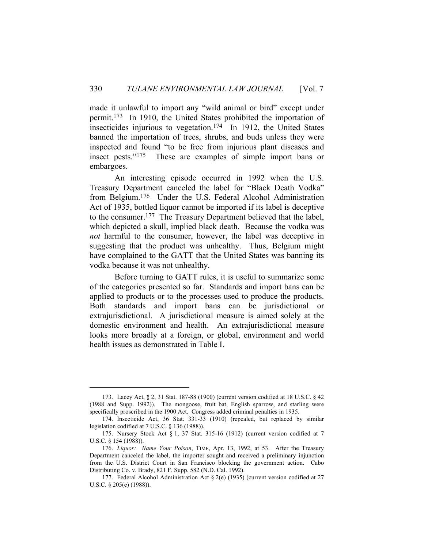made it unlawful to import any "wild animal or bird" except under permit.173 In 1910, the United States prohibited the importation of insecticides injurious to vegetation.174 In 1912, the United States banned the importation of trees, shrubs, and buds unless they were inspected and found "to be free from injurious plant diseases and insect pests."175 These are examples of simple import bans or embargoes.

 An interesting episode occurred in 1992 when the U.S. Treasury Department canceled the label for "Black Death Vodka" from Belgium.176 Under the U.S. Federal Alcohol Administration Act of 1935, bottled liquor cannot be imported if its label is deceptive to the consumer.177 The Treasury Department believed that the label, which depicted a skull, implied black death. Because the vodka was *not* harmful to the consumer, however, the label was deceptive in suggesting that the product was unhealthy. Thus, Belgium might have complained to the GATT that the United States was banning its vodka because it was not unhealthy.

 Before turning to GATT rules, it is useful to summarize some of the categories presented so far. Standards and import bans can be applied to products or to the processes used to produce the products. Both standards and import bans can be jurisdictional or extrajurisdictional. A jurisdictional measure is aimed solely at the domestic environment and health. An extrajurisdictional measure looks more broadly at a foreign, or global, environment and world health issues as demonstrated in Table I.

 <sup>173.</sup> Lacey Act, § 2, 31 Stat. 187-88 (1900) (current version codified at 18 U.S.C. § 42 (1988 and Supp. 1992)). The mongoose, fruit bat, English sparrow, and starling were specifically proscribed in the 1900 Act. Congress added criminal penalties in 1935.

 <sup>174.</sup> Insecticide Act, 36 Stat. 331-33 (1910) (repealed, but replaced by similar legislation codified at 7 U.S.C. § 136 (1988)).

 <sup>175.</sup> Nursery Stock Act § 1, 37 Stat. 315-16 (1912) (current version codified at 7 U.S.C. § 154 (1988)).

 <sup>176.</sup> *Liquor: Name Your Poison*, TIME, Apr. 13, 1992, at 53. After the Treasury Department canceled the label, the importer sought and received a preliminary injunction from the U.S. District Court in San Francisco blocking the government action. Cabo Distributing Co. v. Brady, 821 F. Supp. 582 (N.D. Cal. 1992).

 <sup>177.</sup> Federal Alcohol Administration Act § 2(e) (1935) (current version codified at 27 U.S.C. § 205(e) (1988)).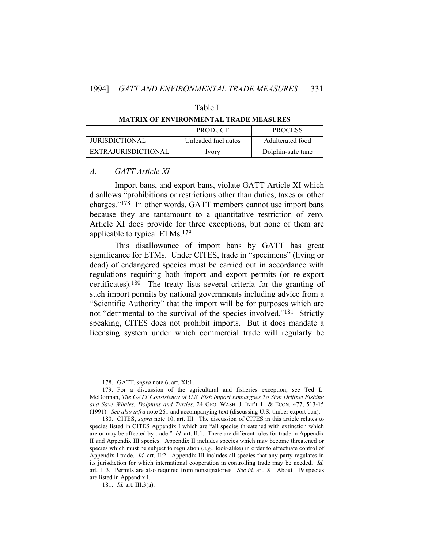| <b>MATRIX OF ENVIRONMENTAL TRADE MEASURES</b> |                     |                   |  |  |  |
|-----------------------------------------------|---------------------|-------------------|--|--|--|
|                                               | <b>PRODUCT</b>      | <b>PROCESS</b>    |  |  |  |
| <b>JURISDICTIONAL</b>                         | Unleaded fuel autos | Adulterated food  |  |  |  |
| EXTRAJURISDICTIONAL                           | Ivory               | Dolphin-safe tune |  |  |  |

Table I

#### *A. GATT Article XI*

 Import bans, and export bans, violate GATT Article XI which disallows "prohibitions or restrictions other than duties, taxes or other charges."178 In other words, GATT members cannot use import bans because they are tantamount to a quantitative restriction of zero. Article XI does provide for three exceptions, but none of them are applicable to typical ETMs.179

 This disallowance of import bans by GATT has great significance for ETMs. Under CITES, trade in "specimens" (living or dead) of endangered species must be carried out in accordance with regulations requiring both import and export permits (or re-export certificates).180 The treaty lists several criteria for the granting of such import permits by national governments including advice from a "Scientific Authority" that the import will be for purposes which are not "detrimental to the survival of the species involved."181 Strictly speaking, CITES does not prohibit imports. But it does mandate a licensing system under which commercial trade will regularly be

 <sup>178.</sup> GATT, *supra* note 6, art. XI:1.

 <sup>179.</sup> For a discussion of the agricultural and fisheries exception, see Ted L. McDorman, *The GATT Consistency of U.S. Fish Import Embargoes To Stop Driftnet Fishing and Save Whales, Dolphins and Turtles*, 24 GEO. WASH. J. INT'L L. & ECON. 477, 513-15 (1991). *See also infra* note 261 and accompanying text (discussing U.S. timber export ban).

 <sup>180.</sup> CITES, *supra* note 10, art. III. The discussion of CITES in this article relates to species listed in CITES Appendix I which are "all species threatened with extinction which are or may be affected by trade." *Id.* art. II:1. There are different rules for trade in Appendix II and Appendix III species. Appendix II includes species which may become threatened or species which must be subject to regulation (*e.g.*, look-alike) in order to effectuate control of Appendix I trade. *Id.* art. II:2. Appendix III includes all species that any party regulates in its jurisdiction for which international cooperation in controlling trade may be needed. *Id.* art. II:3. Permits are also required from nonsignatories. *See id.* art. X. About 119 species are listed in Appendix I.

 <sup>181.</sup> *Id.* art. III:3(a).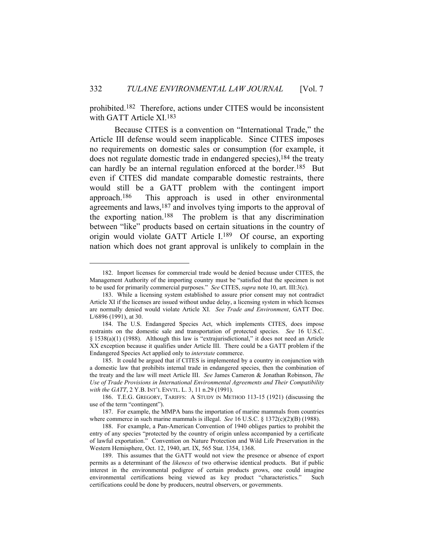prohibited.182 Therefore, actions under CITES would be inconsistent with GATT Article XI.183

 Because CITES is a convention on "International Trade," the Article III defense would seem inapplicable. Since CITES imposes no requirements on domestic sales or consumption (for example, it does not regulate domestic trade in endangered species),184 the treaty can hardly be an internal regulation enforced at the border.185 But even if CITES did mandate comparable domestic restraints, there would still be a GATT problem with the contingent import approach.186 This approach is used in other environmental agreements and laws,<sup>187</sup> and involves tying imports to the approval of the exporting nation.188 The problem is that any discrimination between "like" products based on certain situations in the country of origin would violate GATT Article I.189 Of course, an exporting nation which does not grant approval is unlikely to complain in the

 <sup>182.</sup> Import licenses for commercial trade would be denied because under CITES, the Management Authority of the importing country must be "satisfied that the specimen is not to be used for primarily commercial purposes." *See* CITES, *supra* note 10, art. III:3(c).

 <sup>183.</sup> While a licensing system established to assure prior consent may not contradict Article XI if the licenses are issued without undue delay, a licensing system in which licenses are normally denied would violate Article XI. *See Trade and Environment*, GATT Doc. L/6896 (1991), at 30.

 <sup>184.</sup> The U.S. Endangered Species Act, which implements CITES, does impose restraints on the domestic sale and transportation of protected species. *See* 16 U.S.C. § 1538(a)(1) (1988). Although this law is "extrajurisdictional," it does not need an Article XX exception because it qualifies under Article III. There could be a GATT problem if the Endangered Species Act applied only to *interstate* commerce.

 <sup>185.</sup> It could be argued that if CITES is implemented by a country in conjunction with a domestic law that prohibits internal trade in endangered species, then the combination of the treaty and the law will meet Article III. *See* James Cameron & Jonathan Robinson, *The Use of Trade Provisions in International Environmental Agreements and Their Compatibility with the GATT*, 2 Y.B. INT'L ENVTL. L. 3, 11 n.29 (1991).

 <sup>186.</sup> T.E.G. GREGORY, TARIFFS: A STUDY IN METHOD 113-15 (1921) (discussing the use of the term "contingent").

 <sup>187.</sup> For example, the MMPA bans the importation of marine mammals from countries where commerce in such marine mammals is illegal. *See* 16 U.S.C. § 1372(c)(2)(B) (1988).

 <sup>188.</sup> For example, a Pan-American Convention of 1940 obliges parties to prohibit the entry of any species "protected by the country of origin unless accompanied by a certificate of lawful exportation." Convention on Nature Protection and Wild Life Preservation in the Western Hemisphere, Oct. 12, 1940, art. IX, 565 Stat. 1354, 1368.

 <sup>189.</sup> This assumes that the GATT would not view the presence or absence of export permits as a determinant of the *likeness* of two otherwise identical products. But if public interest in the environmental pedigree of certain products grows, one could imagine environmental certifications being viewed as key product "characteristics." Such certifications could be done by producers, neutral observers, or governments.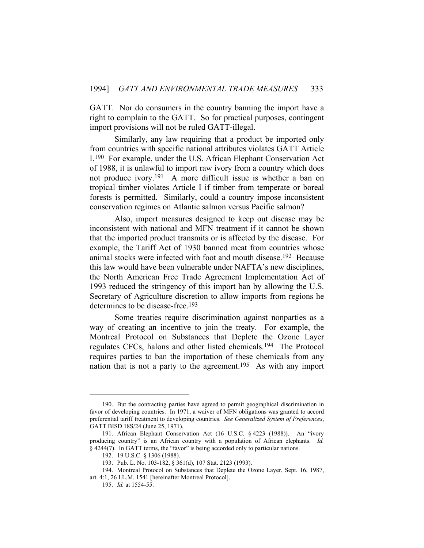GATT. Nor do consumers in the country banning the import have a right to complain to the GATT. So for practical purposes, contingent import provisions will not be ruled GATT-illegal.

 Similarly, any law requiring that a product be imported only from countries with specific national attributes violates GATT Article I.190 For example, under the U.S. African Elephant Conservation Act of 1988, it is unlawful to import raw ivory from a country which does not produce ivory.191 A more difficult issue is whether a ban on tropical timber violates Article I if timber from temperate or boreal forests is permitted. Similarly, could a country impose inconsistent conservation regimes on Atlantic salmon versus Pacific salmon?

 Also, import measures designed to keep out disease may be inconsistent with national and MFN treatment if it cannot be shown that the imported product transmits or is affected by the disease. For example, the Tariff Act of 1930 banned meat from countries whose animal stocks were infected with foot and mouth disease.192 Because this law would have been vulnerable under NAFTA's new disciplines, the North American Free Trade Agreement Implementation Act of 1993 reduced the stringency of this import ban by allowing the U.S. Secretary of Agriculture discretion to allow imports from regions he determines to be disease-free.193

 Some treaties require discrimination against nonparties as a way of creating an incentive to join the treaty. For example, the Montreal Protocol on Substances that Deplete the Ozone Layer regulates CFCs, halons and other listed chemicals.194 The Protocol requires parties to ban the importation of these chemicals from any nation that is not a party to the agreement.195 As with any import

 <sup>190.</sup> But the contracting parties have agreed to permit geographical discrimination in favor of developing countries. In 1971, a waiver of MFN obligations was granted to accord preferential tariff treatment to developing countries. *See Generalized System of Preferences*, GATT BISD 18S/24 (June 25, 1971).

 <sup>191.</sup> African Elephant Conservation Act (16 U.S.C. § 4223 (1988)). An "ivory producing country" is an African country with a population of African elephants. *Id.* § 4244(7). In GATT terms, the "favor" is being accorded only to particular nations.

 <sup>192. 19</sup> U.S.C. § 1306 (1988).

 <sup>193.</sup> Pub. L. No. 103-182, § 361(d), 107 Stat. 2123 (1993).

 <sup>194.</sup> Montreal Protocol on Substances that Deplete the Ozone Layer, Sept. 16, 1987, art. 4:1, 26 I.L.M. 1541 [hereinafter Montreal Protocol].

 <sup>195.</sup> *Id.* at 1554-55.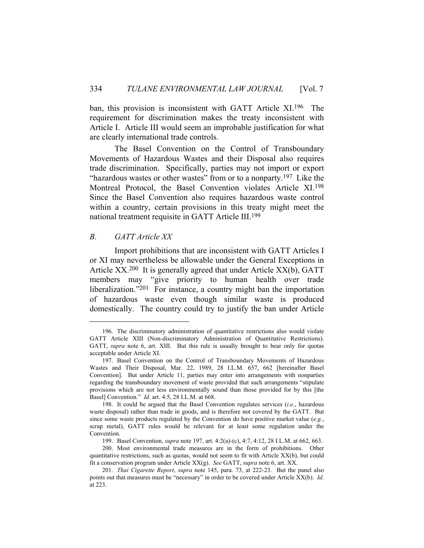ban, this provision is inconsistent with GATT Article XI.196 The requirement for discrimination makes the treaty inconsistent with Article I. Article III would seem an improbable justification for what are clearly international trade controls.

 The Basel Convention on the Control of Transboundary Movements of Hazardous Wastes and their Disposal also requires trade discrimination. Specifically, parties may not import or export "hazardous wastes or other wastes" from or to a nonparty.<sup>197</sup> Like the Montreal Protocol, the Basel Convention violates Article XI.198 Since the Basel Convention also requires hazardous waste control within a country, certain provisions in this treaty might meet the national treatment requisite in GATT Article III.199

## *B. GATT Article XX*

 Import prohibitions that are inconsistent with GATT Articles I or XI may nevertheless be allowable under the General Exceptions in Article XX.<sup>200</sup> It is generally agreed that under Article XX(b), GATT members may "give priority to human health over trade liberalization."<sup>201</sup> For instance, a country might ban the importation of hazardous waste even though similar waste is produced domestically. The country could try to justify the ban under Article

 <sup>196.</sup> The discriminatory administration of quantitative restrictions also would violate GATT Article XIII (Non-discriminatory Administration of Quantitative Restrictions). GATT, *supra* note 6, art. XIII. But this rule is usually brought to bear only for quotas acceptable under Article XI.

 <sup>197.</sup> Basel Convention on the Control of Transboundary Movements of Hazardous Wastes and Their Disposal, Mar. 22, 1989, 28 I.L.M. 657, 662 [hereinafter Basel Convention]. But under Article 11, parties may enter into arrangements with nonparties regarding the transboundary movement of waste provided that such arrangements "stipulate provisions which are not less environmentally sound than those provided for by this [the Basel] Convention." *Id.* art. 4:5, 28 I.L.M. at 668.

 <sup>198.</sup> It could be argued that the Basel Convention regulates services (*i.e.*, hazardous waste disposal) rather than trade in goods, and is therefore not covered by the GATT. But since some waste products regulated by the Convention do have positive market value (*e.g.*, scrap metal), GATT rules would be relevant for at least some regulation under the Convention.

 <sup>199.</sup> Basel Convention, *supra* note 197, art. 4:2(a)-(c), 4:7, 4:12, 28 I.L.M. at 662, 663.

 <sup>200.</sup> Most environmental trade measures are in the form of prohibitions. Other quantitative restrictions, such as quotas, would not seem to fit with Article XX(b), but could fit a conservation program under Article XX(g). *See* GATT, *supra* note 6, art. XX.

 <sup>201.</sup> *Thai Cigarette Report*, *supra* note 145, para. 73, at 222-23. But the panel also points out that measures must be "necessary" in order to be covered under Article XX(b). *Id.* at 223.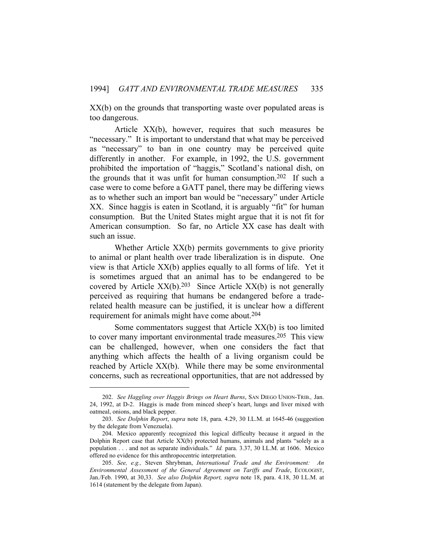XX(b) on the grounds that transporting waste over populated areas is too dangerous.

 Article XX(b), however, requires that such measures be "necessary." It is important to understand that what may be perceived as "necessary" to ban in one country may be perceived quite differently in another. For example, in 1992, the U.S. government prohibited the importation of "haggis," Scotland's national dish, on the grounds that it was unfit for human consumption.202 If such a case were to come before a GATT panel, there may be differing views as to whether such an import ban would be "necessary" under Article XX. Since haggis is eaten in Scotland, it is arguably "fit" for human consumption. But the United States might argue that it is not fit for American consumption. So far, no Article XX case has dealt with such an issue.

 Whether Article XX(b) permits governments to give priority to animal or plant health over trade liberalization is in dispute. One view is that Article XX(b) applies equally to all forms of life. Yet it is sometimes argued that an animal has to be endangered to be covered by Article  $XX(b)$ .<sup>203</sup> Since Article  $XX(b)$  is not generally perceived as requiring that humans be endangered before a traderelated health measure can be justified, it is unclear how a different requirement for animals might have come about.204

 Some commentators suggest that Article XX(b) is too limited to cover many important environmental trade measures.205 This view can be challenged, however, when one considers the fact that anything which affects the health of a living organism could be reached by Article XX(b). While there may be some environmental concerns, such as recreational opportunities, that are not addressed by

 <sup>202.</sup> *See Haggling over Haggis Brings on Heart Burns*, SAN DIEGO UNION-TRIB.*,* Jan. 24, 1992, at D-2. Haggis is made from minced sheep's heart, lungs and liver mixed with oatmeal, onions, and black pepper.

 <sup>203.</sup> *See Dolphin Report*, *supra* note 18, para. 4.29, 30 I.L.M. at 1645-46 (suggestion by the delegate from Venezuela).

 <sup>204.</sup> Mexico apparently recognized this logical difficulty because it argued in the Dolphin Report case that Article XX(b) protected humans, animals and plants "solely as a population . . . and not as separate individuals." *Id.* para. 3.37, 30 I.L.M. at 1606. Mexico offered no evidence for this anthropocentric interpretation.

 <sup>205.</sup> *See, e.g.,* Steven Shrybman, *International Trade and the Environment: An Environmental Assessment of the General Agreement on Tariffs and Trade*, ECOLOGIST, Jan./Feb. 1990, at 30,33. *See also Dolphin Report, supra* note 18, para. 4.18, 30 I.L.M. at 1614 (statement by the delegate from Japan).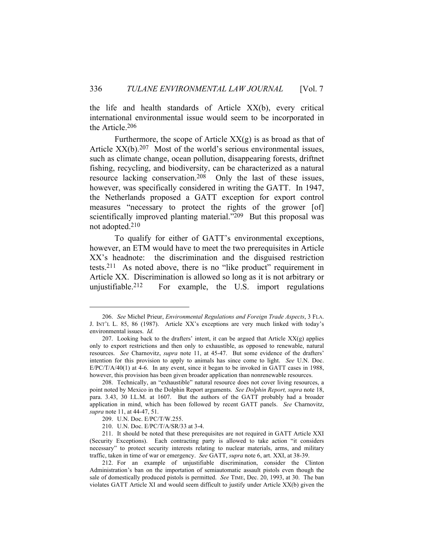the life and health standards of Article XX(b), every critical international environmental issue would seem to be incorporated in the Article.206

Furthermore, the scope of Article  $XX(g)$  is as broad as that of Article  $XX(b)$ .<sup>207</sup> Most of the world's serious environmental issues, such as climate change, ocean pollution, disappearing forests, driftnet fishing, recycling, and biodiversity, can be characterized as a natural resource lacking conservation.208 Only the last of these issues, however, was specifically considered in writing the GATT. In 1947, the Netherlands proposed a GATT exception for export control measures "necessary to protect the rights of the grower [of] scientifically improved planting material."<sup>209</sup> But this proposal was not adopted.210

 To qualify for either of GATT's environmental exceptions, however, an ETM would have to meet the two prerequisites in Article XX's headnote: the discrimination and the disguised restriction tests.211 As noted above, there is no "like product" requirement in Article XX. Discrimination is allowed so long as it is not arbitrary or unjustifiable.212 For example, the U.S. import regulations

 <sup>206.</sup> *See* Michel Prieur, *Environmental Regulations and Foreign Trade Aspects*, 3 FLA. J. INT'L L. 85, 86 (1987). Article XX's exceptions are very much linked with today's environmental issues. *Id.*

<sup>207.</sup> Looking back to the drafters' intent, it can be argued that Article  $XX(g)$  applies only to export restrictions and then only to exhaustible, as opposed to renewable, natural resources. *See* Charnovitz, *supra* note 11, at 45-47. But some evidence of the drafters' intention for this provision to apply to animals has since come to light. *See* U.N. Doc. E/PC/T/A/40(1) at 4-6. In any event, since it began to be invoked in GATT cases in 1988, however, this provision has been given broader application than nonrenewable resources.

 <sup>208.</sup> Technically, an "exhaustible" natural resource does not cover living resources, a point noted by Mexico in the Dolphin Report arguments. *See Dolphin Report, supra* note 18, para. 3.43, 30 I.L.M. at 1607. But the authors of the GATT probably had a broader application in mind, which has been followed by recent GATT panels. *See* Charnovitz, *supra* note 11, at 44-47, 51.

 <sup>209.</sup> U.N. Doc. E/PC/T/W.255.

 <sup>210.</sup> U.N. Doc. E/PC/T/A/SR/33 at 3-4.

 <sup>211.</sup> It should be noted that these prerequisites are not required in GATT Article XXI (Security Exceptions). Each contracting party is allowed to take action "it considers necessary" to protect security interests relating to nuclear materials, arms, and military traffic, taken in time of war or emergency. *See* GATT, *supra* note 6, art. XXI, at 38-39.

 <sup>212.</sup> For an example of unjustifiable discrimination, consider the Clinton Administration's ban on the importation of semiautomatic assault pistols even though the sale of domestically produced pistols is permitted. *See* TIME, Dec. 20, 1993, at 30. The ban violates GATT Article XI and would seem difficult to justify under Article XX(b) given the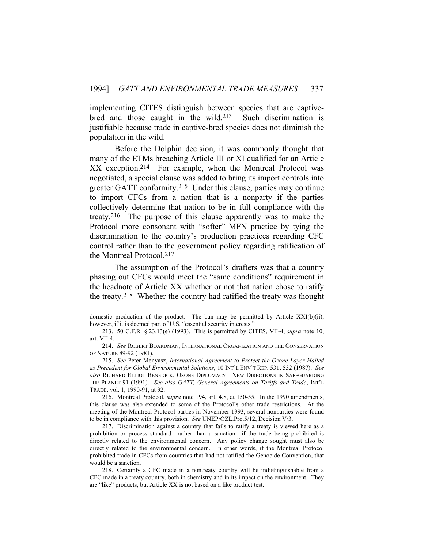implementing CITES distinguish between species that are captivebred and those caught in the wild.213 Such discrimination is justifiable because trade in captive-bred species does not diminish the population in the wild.

 Before the Dolphin decision, it was commonly thought that many of the ETMs breaching Article III or XI qualified for an Article XX exception.214 For example, when the Montreal Protocol was negotiated, a special clause was added to bring its import controls into greater GATT conformity.215 Under this clause, parties may continue to import CFCs from a nation that is a nonparty if the parties collectively determine that nation to be in full compliance with the treaty.216 The purpose of this clause apparently was to make the Protocol more consonant with "softer" MFN practice by tying the discrimination to the country's production practices regarding CFC control rather than to the government policy regarding ratification of the Montreal Protocol.217

 The assumption of the Protocol's drafters was that a country phasing out CFCs would meet the "same conditions" requirement in the headnote of Article XX whether or not that nation chose to ratify the treaty.218 Whether the country had ratified the treaty was thought

 216. Montreal Protocol, *supra* note 194, art. 4.8, at 150-55. In the 1990 amendments, this clause was also extended to some of the Protocol's other trade restrictions. At the meeting of the Montreal Protocol parties in November 1993, several nonparties were found to be in compliance with this provision. *See* UNEP/OZL.Pro.5/12, Decision V/3.

 217. Discrimination against a country that fails to ratify a treaty is viewed here as a prohibition or process standard—rather than a sanction—if the trade being prohibited is directly related to the environmental concern. Any policy change sought must also be directly related to the environmental concern. In other words, if the Montreal Protocol prohibited trade in CFCs from countries that had not ratified the Genocide Convention, that would be a sanction.

 218. Certainly a CFC made in a nontreaty country will be indistinguishable from a CFC made in a treaty country, both in chemistry and in its impact on the environment. They are "like" products, but Article XX is not based on a like product test.

domestic production of the product. The ban may be permitted by Article  $XXI(b)(ii)$ , however, if it is deemed part of U.S. "essential security interests."

 <sup>213. 50</sup> C.F.R. § 23.13(e) (1993). This is permitted by CITES, VII-4, *supra* note 10, art. VII:4.

 <sup>214.</sup> *See* ROBERT BOARDMAN, INTERNATIONAL ORGANIZATION AND THE CONSERVATION OF NATURE 89-92 (1981).

 <sup>215.</sup> *See* Peter Menyasz, *International Agreement to Protect the Ozone Layer Hailed as Precedent for Global Environmental Solutions*, 10 INT'L ENV'T REP. 531, 532 (1987). *See also* RICHARD ELLIOT BENEDICK, OZONE DIPLOMACY: NEW DIRECTIONS IN SAFEGUARDING THE PLANET 91 (1991). *See also GATT, General Agreements on Tariffs and Trade*, INT'L TRADE, vol. 1, 1990-91, at 32.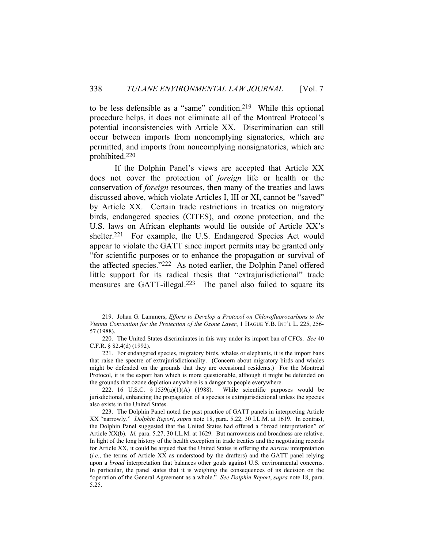to be less defensible as a "same" condition.219 While this optional procedure helps, it does not eliminate all of the Montreal Protocol's potential inconsistencies with Article XX. Discrimination can still occur between imports from noncomplying signatories, which are permitted, and imports from noncomplying nonsignatories, which are prohibited.220

 If the Dolphin Panel's views are accepted that Article XX does not cover the protection of *foreign* life or health or the conservation of *foreign* resources, then many of the treaties and laws discussed above, which violate Articles I, III or XI, cannot be "saved" by Article XX. Certain trade restrictions in treaties on migratory birds, endangered species (CITES), and ozone protection, and the U.S. laws on African elephants would lie outside of Article XX's shelter.<sup>221</sup> For example, the U.S. Endangered Species Act would appear to violate the GATT since import permits may be granted only "for scientific purposes or to enhance the propagation or survival of the affected species."222 As noted earlier, the Dolphin Panel offered little support for its radical thesis that "extrajurisdictional" trade measures are GATT-illegal.<sup>223</sup> The panel also failed to square its

 <sup>219.</sup> Johan G. Lammers, *Efforts to Develop a Protocol on Chlorofluorocarbons to the Vienna Convention for the Protection of the Ozone Layer*, 1 HAGUE Y.B. INT'L L. 225, 256- 57 (1988).

 <sup>220.</sup> The United States discriminates in this way under its import ban of CFCs. *See* 40 C.F.R. § 82.4(d) (1992).

 <sup>221.</sup> For endangered species, migratory birds, whales or elephants, it is the import bans that raise the spectre of extrajurisdictionality. (Concern about migratory birds and whales might be defended on the grounds that they are occasional residents.) For the Montreal Protocol, it is the export ban which is more questionable, although it might be defended on the grounds that ozone depletion anywhere is a danger to people everywhere.

 <sup>222. 16</sup> U.S.C. § 1539(a)(1)(A) (1988). While scientific purposes would be jurisdictional, enhancing the propagation of a species is extrajurisdictional unless the species also exists in the United States.

 <sup>223.</sup> The Dolphin Panel noted the past practice of GATT panels in interpreting Article XX "narrowly." *Dolphin Report*, *supra* note 18, para. 5.22, 30 I.L.M. at 1619. In contrast, the Dolphin Panel suggested that the United States had offered a "broad interpretation" of Article XX(b). *Id.* para. 5.27, 30 I.L.M. at 1629. But narrowness and broadness are relative. In light of the long history of the health exception in trade treaties and the negotiating records for Article XX, it could be argued that the United States is offering the *narrow* interpretation (*i.e.*, the terms of Article XX as understood by the drafters) and the GATT panel relying upon a *broad* interpretation that balances other goals against U.S. environmental concerns. In particular, the panel states that it is weighing the consequences of its decision on the "operation of the General Agreement as a whole." *See Dolphin Report*, *supra* note 18, para. 5.25.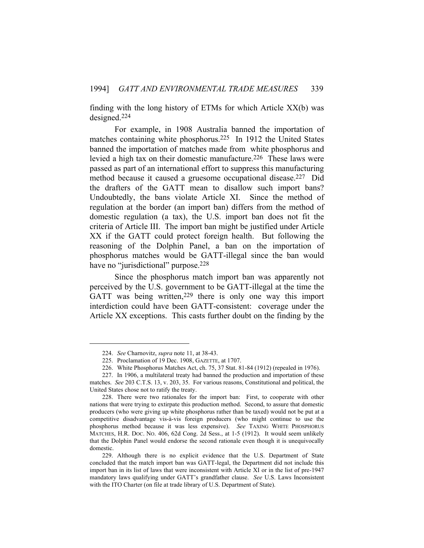finding with the long history of ETMs for which Article XX(b) was designed.224

 For example, in 1908 Australia banned the importation of matches containing white phosphorus.225 In 1912 the United States banned the importation of matches made from white phosphorus and levied a high tax on their domestic manufacture.<sup>226</sup> These laws were passed as part of an international effort to suppress this manufacturing method because it caused a gruesome occupational disease.227 Did the drafters of the GATT mean to disallow such import bans? Undoubtedly, the bans violate Article XI. Since the method of regulation at the border (an import ban) differs from the method of domestic regulation (a tax), the U.S. import ban does not fit the criteria of Article III. The import ban might be justified under Article XX if the GATT could protect foreign health. But following the reasoning of the Dolphin Panel, a ban on the importation of phosphorus matches would be GATT-illegal since the ban would have no "jurisdictional" purpose.<sup>228</sup>

 Since the phosphorus match import ban was apparently not perceived by the U.S. government to be GATT-illegal at the time the GATT was being written,<sup>229</sup> there is only one way this import interdiction could have been GATT-consistent: coverage under the Article XX exceptions. This casts further doubt on the finding by the

 <sup>224.</sup> *See* Charnovitz, *supra* note 11, at 38-43.

 <sup>225.</sup> Proclamation of 19 Dec. 1908, GAZETTE, at 1707.

 <sup>226.</sup> White Phosphorus Matches Act, ch. 75, 37 Stat. 81-84 (1912) (repealed in 1976).

 <sup>227.</sup> In 1906, a multilateral treaty had banned the production and importation of these matches. *See* 203 C.T.S. 13, v. 203, 35. For various reasons, Constitutional and political, the United States chose not to ratify the treaty.

 <sup>228.</sup> There were two rationales for the import ban: First, to cooperate with other nations that were trying to extirpate this production method. Second, to assure that domestic producers (who were giving up white phosphorus rather than be taxed) would not be put at a competitive disadvantage vis-à-vis foreign producers (who might continue to use the phosphorus method because it was less expensive). *See* TAXING WHITE PHOSPHORUS MATCHES, H.R. DOC. NO. 406, 62d Cong. 2d Sess., at 1-5 (1912). It would seem unlikely that the Dolphin Panel would endorse the second rationale even though it is unequivocally domestic.

 <sup>229.</sup> Although there is no explicit evidence that the U.S. Department of State concluded that the match import ban was GATT-legal, the Department did not include this import ban in its list of laws that were inconsistent with Article XI or in the list of pre-1947 mandatory laws qualifying under GATT's grandfather clause. *See* U.S. Laws Inconsistent with the ITO Charter (on file at trade library of U.S. Department of State).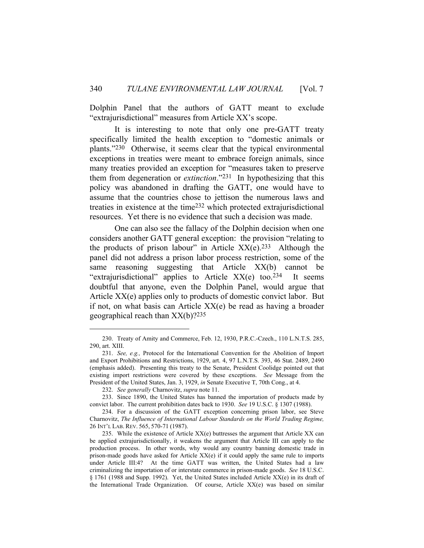Dolphin Panel that the authors of GATT meant to exclude "extrajurisdictional" measures from Article XX's scope.

 It is interesting to note that only one pre-GATT treaty specifically limited the health exception to "domestic animals or plants."230 Otherwise, it seems clear that the typical environmental exceptions in treaties were meant to embrace foreign animals, since many treaties provided an exception for "measures taken to preserve them from degeneration or *extinction*."231 In hypothesizing that this policy was abandoned in drafting the GATT, one would have to assume that the countries chose to jettison the numerous laws and treaties in existence at the time232 which protected extrajurisdictional resources. Yet there is no evidence that such a decision was made.

 One can also see the fallacy of the Dolphin decision when one considers another GATT general exception: the provision "relating to the products of prison labour" in Article  $XX(e)$ .<sup>233</sup> Although the panel did not address a prison labor process restriction, some of the same reasoning suggesting that Article XX(b) cannot be "extrajurisdictional" applies to Article  $XX(e)$  too.<sup>234</sup> It seems doubtful that anyone, even the Dolphin Panel, would argue that Article XX(e) applies only to products of domestic convict labor. But if not, on what basis can Article XX(e) be read as having a broader geographical reach than  $XX(b)$ ?<sup>235</sup>

 <sup>230.</sup> Treaty of Amity and Commerce, Feb. 12, 1930, P.R.C.-Czech., 110 L.N.T.S. 285, 290, art. XIII.

 <sup>231.</sup> *See, e.g.,* Protocol for the International Convention for the Abolition of Import and Export Prohibitions and Restrictions, 1929, art. 4, 97 L.N.T.S. 393, 46 Stat. 2489, 2490 (emphasis added). Presenting this treaty to the Senate, President Coolidge pointed out that existing import restrictions were covered by these exceptions. *See* Message from the President of the United States, Jan. 3, 1929, *in* Senate Executive T, 70th Cong., at 4.

 <sup>232.</sup> *See generally* Charnovitz, *supra* note 11.

 <sup>233.</sup> Since 1890, the United States has banned the importation of products made by convict labor. The current prohibition dates back to 1930. *See* 19 U.S.C. § 1307 (1988).

 <sup>234.</sup> For a discussion of the GATT exception concerning prison labor, see Steve Charnovitz, *The Influence of International Labour Standards on the World Trading Regime,* 26 INT'L LAB. REV. 565, 570-71 (1987).

 <sup>235.</sup> While the existence of Article XX(e) buttresses the argument that Article XX can be applied extrajurisdictionally, it weakens the argument that Article III can apply to the production process. In other words, why would any country banning domestic trade in prison-made goods have asked for Article XX(e) if it could apply the same rule to imports under Article III:4? At the time GATT was written, the United States had a law criminalizing the importation of or interstate commerce in prison-made goods. *See* 18 U.S.C. § 1761 (1988 and Supp. 1992). Yet, the United States included Article XX(e) in its draft of the International Trade Organization. Of course, Article XX(e) was based on similar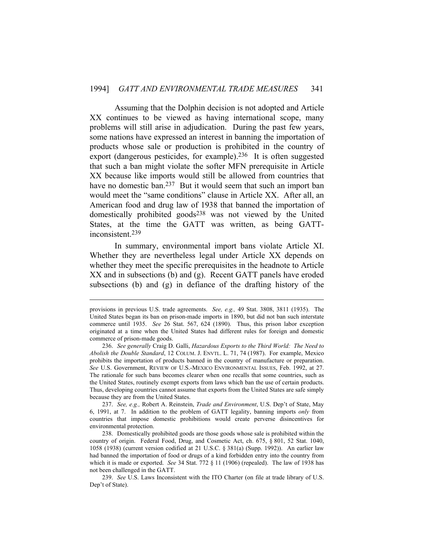Assuming that the Dolphin decision is not adopted and Article XX continues to be viewed as having international scope, many problems will still arise in adjudication. During the past few years, some nations have expressed an interest in banning the importation of products whose sale or production is prohibited in the country of export (dangerous pesticides, for example).236 It is often suggested that such a ban might violate the softer MFN prerequisite in Article XX because like imports would still be allowed from countries that have no domestic ban.<sup>237</sup> But it would seem that such an import ban would meet the "same conditions" clause in Article XX. After all, an American food and drug law of 1938 that banned the importation of domestically prohibited goods238 was not viewed by the United States, at the time the GATT was written, as being GATTinconsistent.239

 In summary, environmental import bans violate Article XI. Whether they are nevertheless legal under Article XX depends on whether they meet the specific prerequisites in the headnote to Article XX and in subsections (b) and (g). Recent GATT panels have eroded subsections (b) and (g) in defiance of the drafting history of the

 237. *See, e.g.,* Robert A. Reinstein, *Trade and Environment*, U.S. Dep't of State, May 6, 1991, at 7. In addition to the problem of GATT legality, banning imports *only* from countries that impose domestic prohibitions would create perverse disincentives for environmental protection.

provisions in previous U.S. trade agreements. *See, e.g.,* 49 Stat. 3808, 3811 (1935). The United States began its ban on prison-made imports in 1890, but did not ban such interstate commerce until 1935. *See* 26 Stat. 567, 624 (1890). Thus, this prison labor exception originated at a time when the United States had different rules for foreign and domestic commerce of prison-made goods.

 <sup>236.</sup> *See generally* Craig D. Galli, *Hazardous Exports to the Third World: The Need to Abolish the Double Standard*, 12 COLUM. J. ENVTL. L. 71, 74 (1987). For example, Mexico prohibits the importation of products banned in the country of manufacture or preparation. *See* U.S. Government, REVIEW OF U.S.-MEXICO ENVIRONMENTAL ISSUES, Feb. 1992, at 27. The rationale for such bans becomes clearer when one recalls that some countries, such as the United States, routinely exempt exports from laws which ban the use of certain products. Thus, developing countries cannot assume that exports from the United States are safe simply because they are from the United States.

 <sup>238.</sup> Domestically prohibited goods are those goods whose sale is prohibited within the country of origin. Federal Food, Drug, and Cosmetic Act, ch. 675, § 801, 52 Stat. 1040, 1058 (1938) (current version codified at 21 U.S.C. § 381(a) (Supp. 1992)). An earlier law had banned the importation of food or drugs of a kind forbidden entry into the country from which it is made or exported. *See* 34 Stat. 772 § 11 (1906) (repealed). The law of 1938 has not been challenged in the GATT.

 <sup>239.</sup> *See* U.S. Laws Inconsistent with the ITO Charter (on file at trade library of U.S. Dep't of State).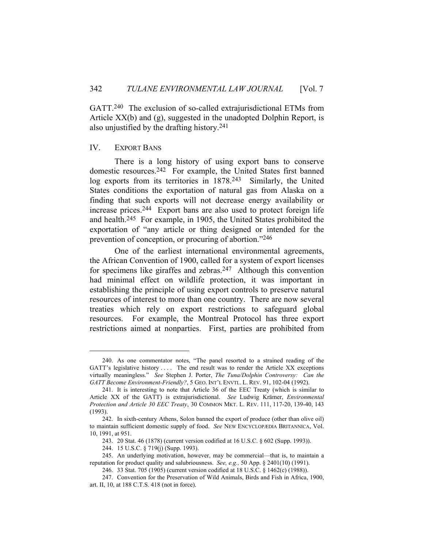GATT.240 The exclusion of so-called extrajurisdictional ETMs from Article XX(b) and (g), suggested in the unadopted Dolphin Report, is also unjustified by the drafting history.241

#### IV. EXPORT BANS

 There is a long history of using export bans to conserve domestic resources.242 For example, the United States first banned log exports from its territories in 1878.243 Similarly, the United States conditions the exportation of natural gas from Alaska on a finding that such exports will not decrease energy availability or increase prices.244 Export bans are also used to protect foreign life and health.245 For example, in 1905, the United States prohibited the exportation of "any article or thing designed or intended for the prevention of conception, or procuring of abortion."246

 One of the earliest international environmental agreements, the African Convention of 1900, called for a system of export licenses for specimens like giraffes and zebras.<sup>247</sup> Although this convention had minimal effect on wildlife protection, it was important in establishing the principle of using export controls to preserve natural resources of interest to more than one country. There are now several treaties which rely on export restrictions to safeguard global resources. For example, the Montreal Protocol has three export restrictions aimed at nonparties. First, parties are prohibited from

 <sup>240.</sup> As one commentator notes, "The panel resorted to a strained reading of the GATT's legislative history .... The end result was to render the Article XX exceptions virtually meaningless." *See* Stephen J. Porter, *The Tuna/Dolphin Controversy: Can the GATT Become Environment-Friendly?*, 5 GEO. INT'L ENVTL. L. REV. 91, 102-04 (1992).

 <sup>241.</sup> It is interesting to note that Article 36 of the EEC Treaty (which is similar to Article XX of the GATT) is extrajurisdictional. *See* Ludwig Krämer, *Environmental Protection and Article 30 EEC Treaty*, 30 COMMON MKT. L. REV. 111, 117-20, 139-40, 143 (1993).

 <sup>242.</sup> In sixth-century Athens, Solon banned the export of produce (other than olive oil) to maintain sufficient domestic supply of food. *See* NEW ENCYCLOPÆDIA BRITANNICA, Vol. 10, 1991, at 951.

 <sup>243. 20</sup> Stat. 46 (1878) (current version codified at 16 U.S.C. § 602 (Supp. 1993)).

 <sup>244. 15</sup> U.S.C. § 719(j) (Supp. 1993).

 <sup>245.</sup> An underlying motivation, however, may be commercial—that is, to maintain a reputation for product quality and salubriousness. *See, e.g.,* 50 App. § 2401(10) (1991).

 <sup>246. 33</sup> Stat. 705 (1905) (current version codified at 18 U.S.C. § 1462(c) (1988)).

 <sup>247.</sup> Convention for the Preservation of Wild Animals, Birds and Fish in Africa, 1900, art. II, 10, at 188 C.T.S. 418 (not in force).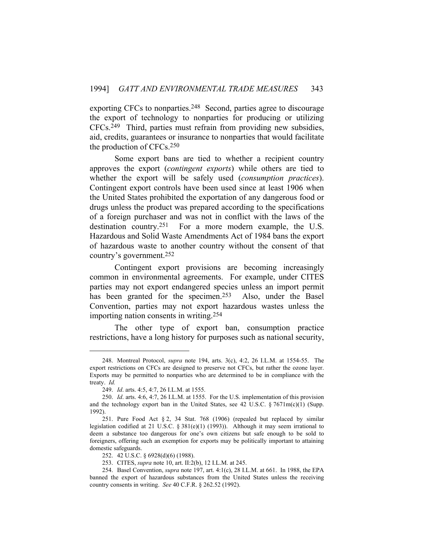exporting CFCs to nonparties.<sup>248</sup> Second, parties agree to discourage the export of technology to nonparties for producing or utilizing CFCs.249 Third, parties must refrain from providing new subsidies, aid, credits, guarantees or insurance to nonparties that would facilitate the production of CFCs.250

 Some export bans are tied to whether a recipient country approves the export (*contingent exports*) while others are tied to whether the export will be safely used (*consumption practices*). Contingent export controls have been used since at least 1906 when the United States prohibited the exportation of any dangerous food or drugs unless the product was prepared according to the specifications of a foreign purchaser and was not in conflict with the laws of the destination country.251 For a more modern example, the U.S. Hazardous and Solid Waste Amendments Act of 1984 bans the export of hazardous waste to another country without the consent of that country's government.252

 Contingent export provisions are becoming increasingly common in environmental agreements. For example, under CITES parties may not export endangered species unless an import permit has been granted for the specimen.<sup>253</sup> Also, under the Basel Convention, parties may not export hazardous wastes unless the importing nation consents in writing.254

 The other type of export ban, consumption practice restrictions, have a long history for purposes such as national security,

 <sup>248.</sup> Montreal Protocol, *supra* note 194, arts. 3(c), 4:2, 26 I.L.M. at 1554-55. The export restrictions on CFCs are designed to preserve not CFCs, but rather the ozone layer. Exports may be permitted to nonparties who are determined to be in compliance with the treaty. *Id.*

 <sup>249.</sup> *Id*. arts. 4:5, 4:7, 26 I.L.M. at 1555.

 <sup>250.</sup> *Id*. arts. 4:6, 4:7, 26 I.L.M. at 1555. For the U.S. implementation of this provision and the technology export ban in the United States, see 42 U.S.C. § 7671m(c)(1) (Supp. 1992).

 <sup>251.</sup> Pure Food Act § 2, 34 Stat. 768 (1906) (repealed but replaced by similar legislation codified at 21 U.S.C. § 381(e)(1) (1993)). Although it may seem irrational to deem a substance too dangerous for one's own citizens but safe enough to be sold to foreigners, offering such an exemption for exports may be politically important to attaining domestic safeguards.

 <sup>252. 42</sup> U.S.C. § 6928(d)(6) (1988).

 <sup>253.</sup> CITES, *supra* note 10, art. II:2(b), 12 I.L.M. at 245.

 <sup>254.</sup> Basel Convention, *supra* note 197, art. 4:1(c), 28 I.L.M. at 661. In 1988, the EPA banned the export of hazardous substances from the United States unless the receiving country consents in writing. *See* 40 C.F.R. § 262.52 (1992).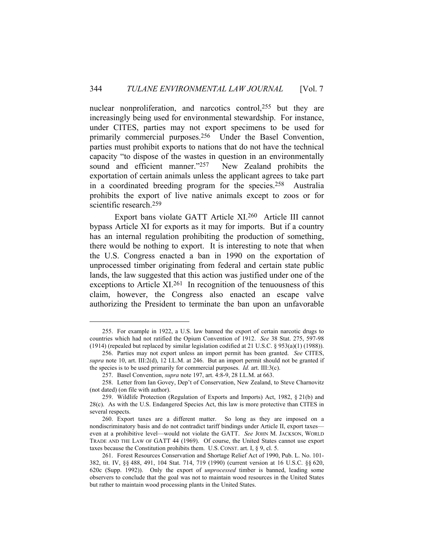nuclear nonproliferation, and narcotics control,<sup>255</sup> but they are increasingly being used for environmental stewardship. For instance, under CITES, parties may not export specimens to be used for primarily commercial purposes.256 Under the Basel Convention, parties must prohibit exports to nations that do not have the technical capacity "to dispose of the wastes in question in an environmentally sound and efficient manner."<sup>257</sup> New Zealand prohibits the exportation of certain animals unless the applicant agrees to take part in a coordinated breeding program for the species.258 Australia prohibits the export of live native animals except to zoos or for scientific research.259

 Export bans violate GATT Article XI.260 Article III cannot bypass Article XI for exports as it may for imports. But if a country has an internal regulation prohibiting the production of something, there would be nothing to export. It is interesting to note that when the U.S. Congress enacted a ban in 1990 on the exportation of unprocessed timber originating from federal and certain state public lands, the law suggested that this action was justified under one of the exceptions to Article XI.<sup>261</sup> In recognition of the tenuousness of this claim, however, the Congress also enacted an escape valve authorizing the President to terminate the ban upon an unfavorable

 <sup>255.</sup> For example in 1922, a U.S. law banned the export of certain narcotic drugs to countries which had not ratified the Opium Convention of 1912. *See* 38 Stat. 275, 597-98 (1914) (repealed but replaced by similar legislation codified at 21 U.S.C. § 953(a)(1) (1988)).

 <sup>256.</sup> Parties may not export unless an import permit has been granted. *See* CITES, *supra* note 10, art. III:2(d), 12 I.L.M. at 246. But an import permit should not be granted if the species is to be used primarily for commercial purposes. *Id.* art. III:3(c).

 <sup>257.</sup> Basel Convention, *supra* note 197, art. 4:8-9, 28 I.L.M. at 663.

 <sup>258.</sup> Letter from Ian Govey, Dep't of Conservation, New Zealand, to Steve Charnovitz (not dated) (on file with author).

 <sup>259.</sup> Wildlife Protection (Regulation of Exports and Imports) Act, 1982, § 21(b) and 28(c). As with the U.S. Endangered Species Act, this law is more protective than CITES in several respects.

 <sup>260.</sup> Export taxes are a different matter. So long as they are imposed on a nondiscriminatory basis and do not contradict tariff bindings under Article II, export taxes even at a prohibitive level—would not violate the GATT. *See* JOHN M. JACKSON, WORLD TRADE AND THE LAW OF GATT 44 (1969). Of course, the United States cannot use export taxes because the Constitution prohibits them. U.S. CONST. art. I, § 9, cl. 5.

 <sup>261.</sup> Forest Resources Conservation and Shortage Relief Act of 1990, Pub. L. No. 101- 382, tit. IV, §§ 488, 491, 104 Stat. 714, 719 (1990) (current version at 16 U.S.C. §§ 620, 620c (Supp. 1992)). Only the export of *unprocessed* timber is banned, leading some observers to conclude that the goal was not to maintain wood resources in the United States but rather to maintain wood processing plants in the United States.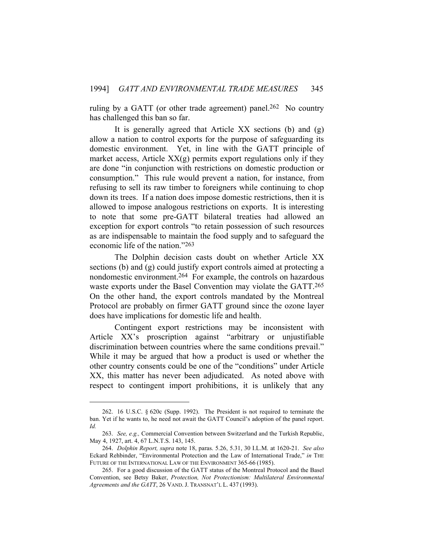ruling by a GATT (or other trade agreement) panel.<sup>262</sup> No country has challenged this ban so far.

 It is generally agreed that Article XX sections (b) and (g) allow a nation to control exports for the purpose of safeguarding its domestic environment. Yet, in line with the GATT principle of market access, Article  $XX(g)$  permits export regulations only if they are done "in conjunction with restrictions on domestic production or consumption." This rule would prevent a nation, for instance, from refusing to sell its raw timber to foreigners while continuing to chop down its trees. If a nation does impose domestic restrictions, then it is allowed to impose analogous restrictions on exports. It is interesting to note that some pre-GATT bilateral treaties had allowed an exception for export controls "to retain possession of such resources as are indispensable to maintain the food supply and to safeguard the economic life of the nation."263

 The Dolphin decision casts doubt on whether Article XX sections (b) and (g) could justify export controls aimed at protecting a nondomestic environment.264 For example, the controls on hazardous waste exports under the Basel Convention may violate the GATT.265 On the other hand, the export controls mandated by the Montreal Protocol are probably on firmer GATT ground since the ozone layer does have implications for domestic life and health.

 Contingent export restrictions may be inconsistent with Article XX's proscription against "arbitrary or unjustifiable discrimination between countries where the same conditions prevail." While it may be argued that how a product is used or whether the other country consents could be one of the "conditions" under Article XX, this matter has never been adjudicated. As noted above with respect to contingent import prohibitions, it is unlikely that any

 <sup>262. 16</sup> U.S.C. § 620c (Supp. 1992). The President is not required to terminate the ban. Yet if he wants to, he need not await the GATT Council's adoption of the panel report. *Id.*

 <sup>263.</sup> *See, e.g.,* Commercial Convention between Switzerland and the Turkish Republic, May 4, 1927, art. 4, 67 L.N.T.S. 143, 145.

 <sup>264.</sup> *Dolphin Report, supra* note 18, paras. 5.26, 5.31, 30 I.L.M. at 1620-21. *See also*  Eckard Rehbinder, "Environmental Protection and the Law of International Trade," *in* THE FUTURE OF THE INTERNATIONAL LAW OF THE ENVIRONMENT 365-66 (1985).

 <sup>265.</sup> For a good discussion of the GATT status of the Montreal Protocol and the Basel Convention, see Betsy Baker, *Protection, Not Protectionism: Multilateral Environmental Agreements and the GATT*, 26 VAND. J. TRANSNAT'L L. 437 (1993).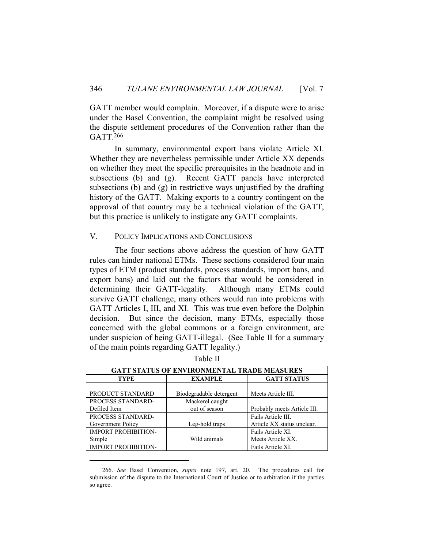GATT member would complain. Moreover, if a dispute were to arise under the Basel Convention, the complaint might be resolved using the dispute settlement procedures of the Convention rather than the GATT.266

 In summary, environmental export bans violate Article XI. Whether they are nevertheless permissible under Article XX depends on whether they meet the specific prerequisites in the headnote and in subsections (b) and (g). Recent GATT panels have interpreted subsections (b) and (g) in restrictive ways unjustified by the drafting history of the GATT. Making exports to a country contingent on the approval of that country may be a technical violation of the GATT, but this practice is unlikely to instigate any GATT complaints.

# V. POLICY IMPLICATIONS AND CONCLUSIONS

 The four sections above address the question of how GATT rules can hinder national ETMs. These sections considered four main types of ETM (product standards, process standards, import bans, and export bans) and laid out the factors that would be considered in determining their GATT-legality. Although many ETMs could survive GATT challenge, many others would run into problems with GATT Articles I, III, and XI. This was true even before the Dolphin decision. But since the decision, many ETMs, especially those concerned with the global commons or a foreign environment, are under suspicion of being GATT-illegal. (See Table II for a summary of the main points regarding GATT legality.)

| <b>GATT STATUS OF ENVIRONMENTAL TRADE MEASURES</b> |                         |                             |  |  |  |
|----------------------------------------------------|-------------------------|-----------------------------|--|--|--|
| <b>TYPE</b>                                        | <b>EXAMPLE</b>          | <b>GATT STATUS</b>          |  |  |  |
|                                                    |                         |                             |  |  |  |
| PRODUCT STANDARD                                   | Biodegradable detergent | Meets Article III.          |  |  |  |
| PROCESS STANDARD-                                  | Mackerel caught         |                             |  |  |  |
| Defiled Item                                       | out of season           | Probably meets Article III. |  |  |  |
| PROCESS STANDARD-                                  |                         | Fails Article III.          |  |  |  |
| Government Policy                                  | Leg-hold traps          | Article XX status unclear.  |  |  |  |
| IMPORT PROHIBITION-                                |                         | Fails Article XI.           |  |  |  |
| Simple                                             | Wild animals            | Meets Article XX.           |  |  |  |
| <b>IMPORT PROHIBITION-</b>                         |                         | Fails Article XI.           |  |  |  |

Table II

 <sup>266.</sup> *See* Basel Convention, *supra* note 197, art. 20. The procedures call for submission of the dispute to the International Court of Justice or to arbitration if the parties so agree.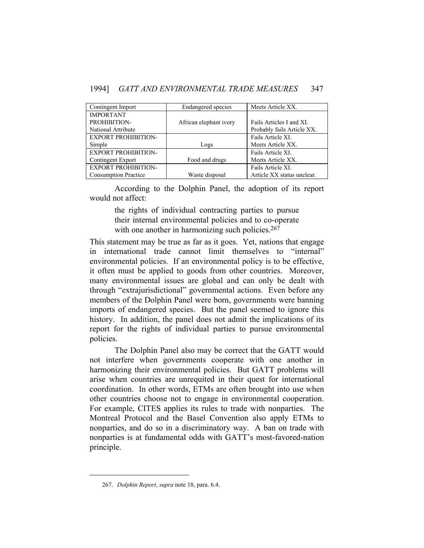| Contingent Import           | Endangered species     | Meets Article XX.          |
|-----------------------------|------------------------|----------------------------|
| <b>IMPORTANT</b>            |                        |                            |
| PROHIBITION-                | African elephant ivory | Fails Articles I and XI.   |
| National Attribute          |                        | Probably fails Article XX. |
| <b>EXPORT PROHIBITION-</b>  |                        | Fails Article XI.          |
| Simple                      | Logs                   | Meets Article XX.          |
| <b>EXPORT PROHIBITION-</b>  |                        | Fails Article XI.          |
| Contingent Export           | Food and drugs         | Meets Article XX.          |
| <b>EXPORT PROHIBITION-</b>  |                        | Fails Article XI.          |
| <b>Consumption Practice</b> | Waste disposal         | Article XX status unclear. |

 According to the Dolphin Panel, the adoption of its report would not affect:

> the rights of individual contracting parties to pursue their internal environmental policies and to co-operate with one another in harmonizing such policies.<sup>267</sup>

This statement may be true as far as it goes. Yet, nations that engage in international trade cannot limit themselves to "internal" environmental policies. If an environmental policy is to be effective, it often must be applied to goods from other countries. Moreover, many environmental issues are global and can only be dealt with through "extrajurisdictional" governmental actions. Even before any members of the Dolphin Panel were born, governments were banning imports of endangered species. But the panel seemed to ignore this history. In addition, the panel does not admit the implications of its report for the rights of individual parties to pursue environmental policies.

 The Dolphin Panel also may be correct that the GATT would not interfere when governments cooperate with one another in harmonizing their environmental policies. But GATT problems will arise when countries are unrequited in their quest for international coordination. In other words, ETMs are often brought into use when other countries choose not to engage in environmental cooperation. For example, CITES applies its rules to trade with nonparties. The Montreal Protocol and the Basel Convention also apply ETMs to nonparties, and do so in a discriminatory way. A ban on trade with nonparties is at fundamental odds with GATT's most-favored-nation principle.

 <sup>267.</sup> *Dolphin Report*, *supra* note 18, para. 6.4.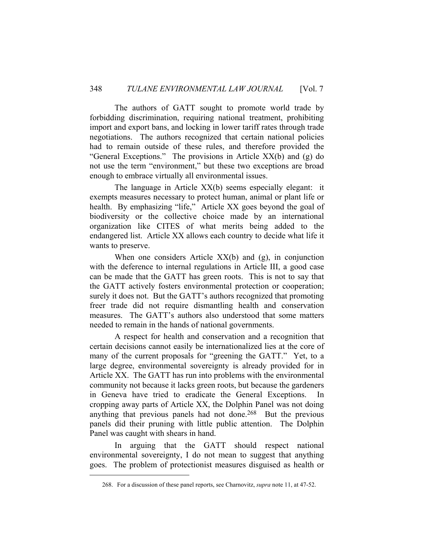The authors of GATT sought to promote world trade by forbidding discrimination, requiring national treatment, prohibiting import and export bans, and locking in lower tariff rates through trade negotiations. The authors recognized that certain national policies had to remain outside of these rules, and therefore provided the "General Exceptions." The provisions in Article XX(b) and (g) do not use the term "environment," but these two exceptions are broad enough to embrace virtually all environmental issues.

 The language in Article XX(b) seems especially elegant: it exempts measures necessary to protect human, animal or plant life or health. By emphasizing "life," Article XX goes beyond the goal of biodiversity or the collective choice made by an international organization like CITES of what merits being added to the endangered list. Article XX allows each country to decide what life it wants to preserve.

 When one considers Article XX(b) and (g), in conjunction with the deference to internal regulations in Article III, a good case can be made that the GATT has green roots. This is not to say that the GATT actively fosters environmental protection or cooperation; surely it does not. But the GATT's authors recognized that promoting freer trade did not require dismantling health and conservation measures. The GATT's authors also understood that some matters needed to remain in the hands of national governments.

 A respect for health and conservation and a recognition that certain decisions cannot easily be internationalized lies at the core of many of the current proposals for "greening the GATT." Yet, to a large degree, environmental sovereignty is already provided for in Article XX. The GATT has run into problems with the environmental community not because it lacks green roots, but because the gardeners in Geneva have tried to eradicate the General Exceptions. In cropping away parts of Article XX, the Dolphin Panel was not doing anything that previous panels had not done.<sup>268</sup> But the previous panels did their pruning with little public attention. The Dolphin Panel was caught with shears in hand.

 In arguing that the GATT should respect national environmental sovereignty, I do not mean to suggest that anything goes. The problem of protectionist measures disguised as health or

 <sup>268.</sup> For a discussion of these panel reports, see Charnovitz, *supra* note 11, at 47-52.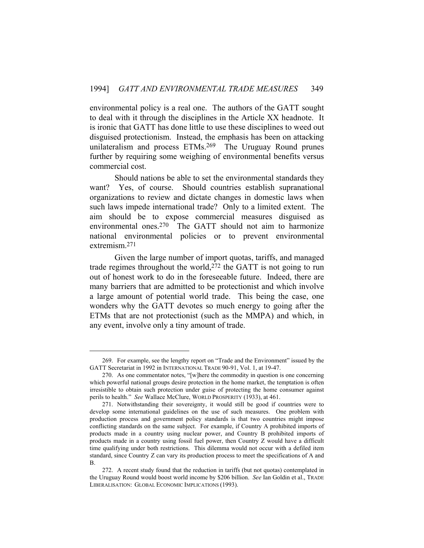environmental policy is a real one. The authors of the GATT sought to deal with it through the disciplines in the Article XX headnote. It is ironic that GATT has done little to use these disciplines to weed out disguised protectionism. Instead, the emphasis has been on attacking unilateralism and process ETMs.269 The Uruguay Round prunes further by requiring some weighing of environmental benefits versus commercial cost.

 Should nations be able to set the environmental standards they want? Yes, of course. Should countries establish supranational organizations to review and dictate changes in domestic laws when such laws impede international trade? Only to a limited extent. The aim should be to expose commercial measures disguised as environmental ones.270 The GATT should not aim to harmonize national environmental policies or to prevent environmental extremism.271

 Given the large number of import quotas, tariffs, and managed trade regimes throughout the world,272 the GATT is not going to run out of honest work to do in the foreseeable future. Indeed, there are many barriers that are admitted to be protectionist and which involve a large amount of potential world trade. This being the case, one wonders why the GATT devotes so much energy to going after the ETMs that are not protectionist (such as the MMPA) and which, in any event, involve only a tiny amount of trade.

 <sup>269.</sup> For example, see the lengthy report on "Trade and the Environment" issued by the GATT Secretariat in 1992 in INTERNATIONAL TRADE 90-91, Vol. 1, at 19-47.

 <sup>270.</sup> As one commentator notes, "[w]here the commodity in question is one concerning which powerful national groups desire protection in the home market, the temptation is often irresistible to obtain such protection under guise of protecting the home consumer against perils to health." *See* Wallace McClure, WORLD PROSPERITY (1933), at 461.

 <sup>271.</sup> Notwithstanding their sovereignty, it would still be good if countries were to develop some international guidelines on the use of such measures. One problem with production process and government policy standards is that two countries might impose conflicting standards on the same subject. For example, if Country A prohibited imports of products made in a country using nuclear power, and Country B prohibited imports of products made in a country using fossil fuel power, then Country Z would have a difficult time qualifying under both restrictions. This dilemma would not occur with a defiled item standard, since Country Z can vary its production process to meet the specifications of A and B.

 <sup>272.</sup> A recent study found that the reduction in tariffs (but not quotas) contemplated in the Uruguay Round would boost world income by \$206 billion. *See* Ian Goldin et al., TRADE LIBERALISATION: GLOBAL ECONOMIC IMPLICATIONS (1993).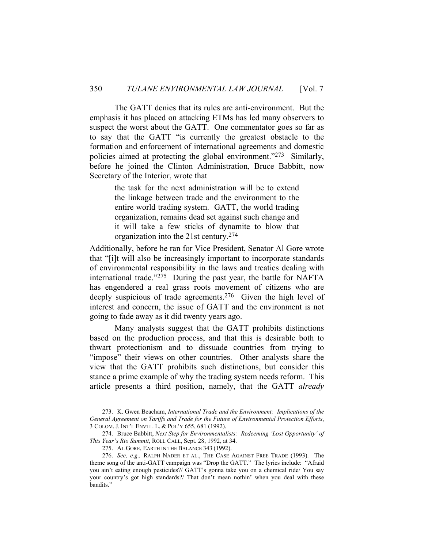The GATT denies that its rules are anti-environment. But the emphasis it has placed on attacking ETMs has led many observers to suspect the worst about the GATT. One commentator goes so far as to say that the GATT "is currently the greatest obstacle to the formation and enforcement of international agreements and domestic policies aimed at protecting the global environment."273 Similarly, before he joined the Clinton Administration, Bruce Babbitt, now Secretary of the Interior, wrote that

> the task for the next administration will be to extend the linkage between trade and the environment to the entire world trading system. GATT, the world trading organization, remains dead set against such change and it will take a few sticks of dynamite to blow that organization into the 21st century.274

Additionally, before he ran for Vice President, Senator Al Gore wrote that "[i]t will also be increasingly important to incorporate standards of environmental responsibility in the laws and treaties dealing with international trade."275 During the past year, the battle for NAFTA has engendered a real grass roots movement of citizens who are deeply suspicious of trade agreements.<sup>276</sup> Given the high level of interest and concern, the issue of GATT and the environment is not going to fade away as it did twenty years ago.

 Many analysts suggest that the GATT prohibits distinctions based on the production process, and that this is desirable both to thwart protectionism and to dissuade countries from trying to "impose" their views on other countries. Other analysts share the view that the GATT prohibits such distinctions, but consider this stance a prime example of why the trading system needs reform. This article presents a third position, namely, that the GATT *already*

 <sup>273.</sup> K. Gwen Beacham, *International Trade and the Environment: Implications of the General Agreement on Tariffs and Trade for the Future of Environmental Protection Efforts*, 3 COLOM. J. INT'L ENVTL. L. & POL'Y 655, 681 (1992).

 <sup>274.</sup> Bruce Babbitt, *Next Step for Environmentalists: Redeeming 'Lost Opportunity' of This Year's Rio Summit*, ROLL CALL, Sept. 28, 1992, at 34.

 <sup>275.</sup> AL GORE, EARTH IN THE BALANCE 343 (1992).

 <sup>276.</sup> *See, e.g.,* RALPH NADER ET AL., THE CASE AGAINST FREE TRADE (1993). The theme song of the anti-GATT campaign was "Drop the GATT." The lyrics include: "Afraid you ain't eating enough pesticides?/ GATT's gonna take you on a chemical ride/ You say your country's got high standards?/ That don't mean nothin' when you deal with these bandits."